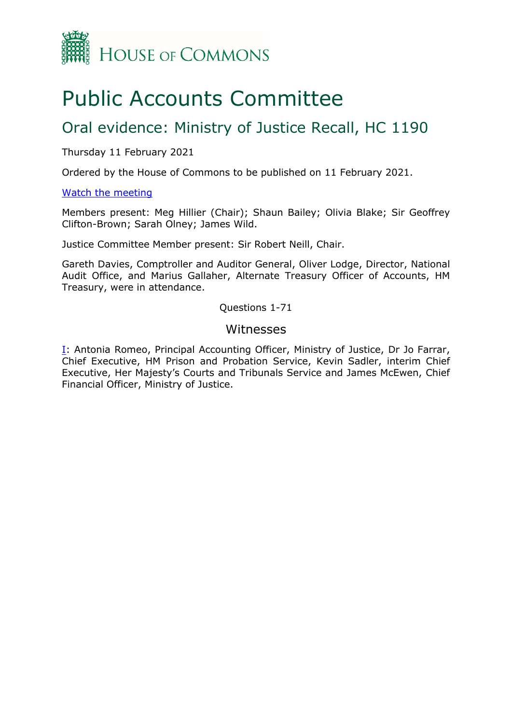

# Public Accounts Committee

## Oral evidence: Ministry of Justice Recall, HC 1190

#### Thursday 11 February 2021

Ordered by the House of Commons to be published on 11 February 2021.

#### [Watch the meeting](https://parliamentlive.tv/event/index/7fa10fd4-23b7-409e-8259-bbb6a05bed26)

Members present: Meg Hillier (Chair); Shaun Bailey; Olivia Blake; Sir Geoffrey Clifton-Brown; Sarah Olney; James Wild.

Justice Committee Member present: Sir Robert Neill, Chair.

Gareth Davies, Comptroller and Auditor General, Oliver Lodge, Director, National Audit Office, and Marius Gallaher, Alternate Treasury Officer of Accounts, HM Treasury, were in attendance.

Questions 1-71

#### Witnesses

[I:](#page-1-0) Antonia Romeo, Principal Accounting Officer, Ministry of Justice, Dr Jo Farrar, Chief Executive, HM Prison and Probation Service, Kevin Sadler, interim Chief Executive, Her Majesty's Courts and Tribunals Service and James McEwen, Chief Financial Officer, Ministry of Justice.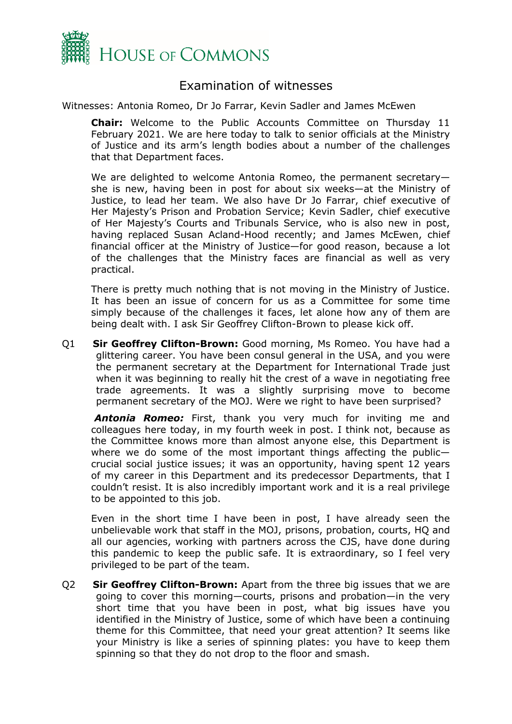

### Examination of witnesses

<span id="page-1-0"></span>Witnesses: Antonia Romeo, Dr Jo Farrar, Kevin Sadler and James McEwen

**Chair:** Welcome to the Public Accounts Committee on Thursday 11 February 2021. We are here today to talk to senior officials at the Ministry of Justice and its arm's length bodies about a number of the challenges that that Department faces.

We are delighted to welcome Antonia Romeo, the permanent secretary she is new, having been in post for about six weeks—at the Ministry of Justice, to lead her team. We also have Dr Jo Farrar, chief executive of Her Majesty's Prison and Probation Service; Kevin Sadler, chief executive of Her Majesty's Courts and Tribunals Service, who is also new in post, having replaced Susan Acland-Hood recently; and James McEwen, chief financial officer at the Ministry of Justice—for good reason, because a lot of the challenges that the Ministry faces are financial as well as very practical.

There is pretty much nothing that is not moving in the Ministry of Justice. It has been an issue of concern for us as a Committee for some time simply because of the challenges it faces, let alone how any of them are being dealt with. I ask Sir Geoffrey Clifton-Brown to please kick off.

Q1 **Sir Geoffrey Clifton-Brown:** Good morning, Ms Romeo. You have had a glittering career. You have been consul general in the USA, and you were the permanent secretary at the Department for International Trade just when it was beginning to really hit the crest of a wave in negotiating free trade agreements. It was a slightly surprising move to become permanent secretary of the MOJ. Were we right to have been surprised?

*Antonia Romeo:* First, thank you very much for inviting me and colleagues here today, in my fourth week in post. I think not, because as the Committee knows more than almost anyone else, this Department is where we do some of the most important things affecting the public crucial social justice issues; it was an opportunity, having spent 12 years of my career in this Department and its predecessor Departments, that I couldn't resist. It is also incredibly important work and it is a real privilege to be appointed to this job.

Even in the short time I have been in post, I have already seen the unbelievable work that staff in the MOJ, prisons, probation, courts, HQ and all our agencies, working with partners across the CJS, have done during this pandemic to keep the public safe. It is extraordinary, so I feel very privileged to be part of the team.

Q2 **Sir Geoffrey Clifton-Brown:** Apart from the three big issues that we are going to cover this morning—courts, prisons and probation—in the very short time that you have been in post, what big issues have you identified in the Ministry of Justice, some of which have been a continuing theme for this Committee, that need your great attention? It seems like your Ministry is like a series of spinning plates: you have to keep them spinning so that they do not drop to the floor and smash.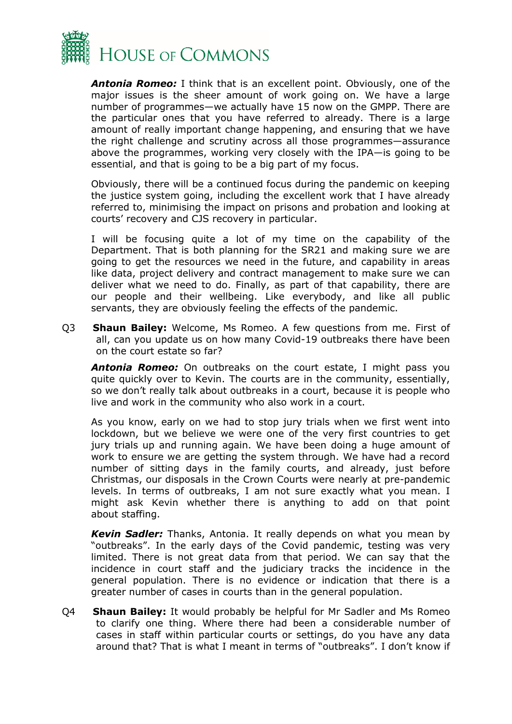

*Antonia Romeo:* I think that is an excellent point. Obviously, one of the major issues is the sheer amount of work going on. We have a large number of programmes—we actually have 15 now on the GMPP. There are the particular ones that you have referred to already. There is a large amount of really important change happening, and ensuring that we have the right challenge and scrutiny across all those programmes—assurance above the programmes, working very closely with the IPA—is going to be essential, and that is going to be a big part of my focus.

Obviously, there will be a continued focus during the pandemic on keeping the justice system going, including the excellent work that I have already referred to, minimising the impact on prisons and probation and looking at courts' recovery and CJS recovery in particular.

I will be focusing quite a lot of my time on the capability of the Department. That is both planning for the SR21 and making sure we are going to get the resources we need in the future, and capability in areas like data, project delivery and contract management to make sure we can deliver what we need to do. Finally, as part of that capability, there are our people and their wellbeing. Like everybody, and like all public servants, they are obviously feeling the effects of the pandemic.

Q3 **Shaun Bailey:** Welcome, Ms Romeo. A few questions from me. First of all, can you update us on how many Covid-19 outbreaks there have been on the court estate so far?

*Antonia Romeo:* On outbreaks on the court estate, I might pass you quite quickly over to Kevin. The courts are in the community, essentially, so we don't really talk about outbreaks in a court, because it is people who live and work in the community who also work in a court.

As you know, early on we had to stop jury trials when we first went into lockdown, but we believe we were one of the very first countries to get jury trials up and running again. We have been doing a huge amount of work to ensure we are getting the system through. We have had a record number of sitting days in the family courts, and already, just before Christmas, our disposals in the Crown Courts were nearly at pre-pandemic levels. In terms of outbreaks, I am not sure exactly what you mean. I might ask Kevin whether there is anything to add on that point about staffing.

*Kevin Sadler:* Thanks, Antonia. It really depends on what you mean by "outbreaks". In the early days of the Covid pandemic, testing was very limited. There is not great data from that period. We can say that the incidence in court staff and the judiciary tracks the incidence in the general population. There is no evidence or indication that there is a greater number of cases in courts than in the general population.

Q4 **Shaun Bailey:** It would probably be helpful for Mr Sadler and Ms Romeo to clarify one thing. Where there had been a considerable number of cases in staff within particular courts or settings, do you have any data around that? That is what I meant in terms of "outbreaks". I don't know if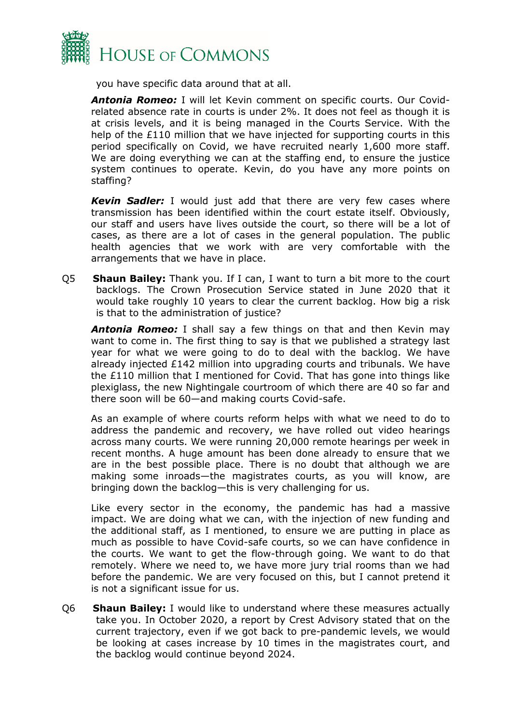

you have specific data around that at all.

*Antonia Romeo:* I will let Kevin comment on specific courts. Our Covidrelated absence rate in courts is under 2%. It does not feel as though it is at crisis levels, and it is being managed in the Courts Service. With the help of the £110 million that we have injected for supporting courts in this period specifically on Covid, we have recruited nearly 1,600 more staff. We are doing everything we can at the staffing end, to ensure the justice system continues to operate. Kevin, do you have any more points on staffing?

*Kevin Sadler:* I would just add that there are very few cases where transmission has been identified within the court estate itself. Obviously, our staff and users have lives outside the court, so there will be a lot of cases, as there are a lot of cases in the general population. The public health agencies that we work with are very comfortable with the arrangements that we have in place.

Q5 **Shaun Bailey:** Thank you. If I can, I want to turn a bit more to the court backlogs. The Crown Prosecution Service stated in June 2020 that it would take roughly 10 years to clear the current backlog. How big a risk is that to the administration of justice?

*Antonia Romeo:* I shall say a few things on that and then Kevin may want to come in. The first thing to say is that we published a strategy last year for what we were going to do to deal with the backlog. We have already injected  $£142$  million into upgrading courts and tribunals. We have the £110 million that I mentioned for Covid. That has gone into things like plexiglass, the new Nightingale courtroom of which there are 40 so far and there soon will be 60—and making courts Covid-safe.

As an example of where courts reform helps with what we need to do to address the pandemic and recovery, we have rolled out video hearings across many courts. We were running 20,000 remote hearings per week in recent months. A huge amount has been done already to ensure that we are in the best possible place. There is no doubt that although we are making some inroads—the magistrates courts, as you will know, are bringing down the backlog—this is very challenging for us.

Like every sector in the economy, the pandemic has had a massive impact. We are doing what we can, with the injection of new funding and the additional staff, as I mentioned, to ensure we are putting in place as much as possible to have Covid-safe courts, so we can have confidence in the courts. We want to get the flow-through going. We want to do that remotely. Where we need to, we have more jury trial rooms than we had before the pandemic. We are very focused on this, but I cannot pretend it is not a significant issue for us.

Q6 **Shaun Bailey:** I would like to understand where these measures actually take you. In October 2020, a report by Crest Advisory stated that on the current trajectory, even if we got back to pre-pandemic levels, we would be looking at cases increase by 10 times in the magistrates court, and the backlog would continue beyond 2024.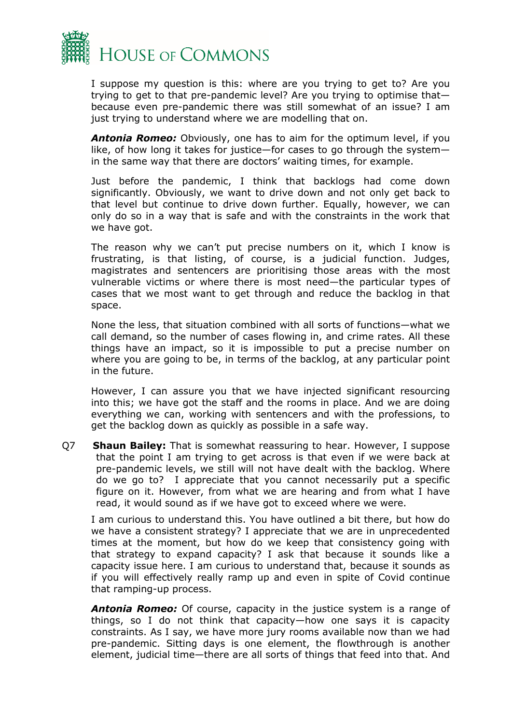

I suppose my question is this: where are you trying to get to? Are you trying to get to that pre-pandemic level? Are you trying to optimise that because even pre-pandemic there was still somewhat of an issue? I am just trying to understand where we are modelling that on.

*Antonia Romeo:* Obviously, one has to aim for the optimum level, if you like, of how long it takes for justice—for cases to go through the system in the same way that there are doctors' waiting times, for example.

Just before the pandemic, I think that backlogs had come down significantly. Obviously, we want to drive down and not only get back to that level but continue to drive down further. Equally, however, we can only do so in a way that is safe and with the constraints in the work that we have got.

The reason why we can't put precise numbers on it, which I know is frustrating, is that listing, of course, is a judicial function. Judges, magistrates and sentencers are prioritising those areas with the most vulnerable victims or where there is most need—the particular types of cases that we most want to get through and reduce the backlog in that space.

None the less, that situation combined with all sorts of functions—what we call demand, so the number of cases flowing in, and crime rates. All these things have an impact, so it is impossible to put a precise number on where you are going to be, in terms of the backlog, at any particular point in the future.

However, I can assure you that we have injected significant resourcing into this; we have got the staff and the rooms in place. And we are doing everything we can, working with sentencers and with the professions, to get the backlog down as quickly as possible in a safe way.

Q7 **Shaun Bailey:** That is somewhat reassuring to hear. However, I suppose that the point I am trying to get across is that even if we were back at pre-pandemic levels, we still will not have dealt with the backlog. Where do we go to? I appreciate that you cannot necessarily put a specific figure on it. However, from what we are hearing and from what I have read, it would sound as if we have got to exceed where we were.

I am curious to understand this. You have outlined a bit there, but how do we have a consistent strategy? I appreciate that we are in unprecedented times at the moment, but how do we keep that consistency going with that strategy to expand capacity? I ask that because it sounds like a capacity issue here. I am curious to understand that, because it sounds as if you will effectively really ramp up and even in spite of Covid continue that ramping-up process.

*Antonia Romeo:* Of course, capacity in the justice system is a range of things, so I do not think that capacity—how one says it is capacity constraints. As I say, we have more jury rooms available now than we had pre-pandemic. Sitting days is one element, the flowthrough is another element, judicial time—there are all sorts of things that feed into that. And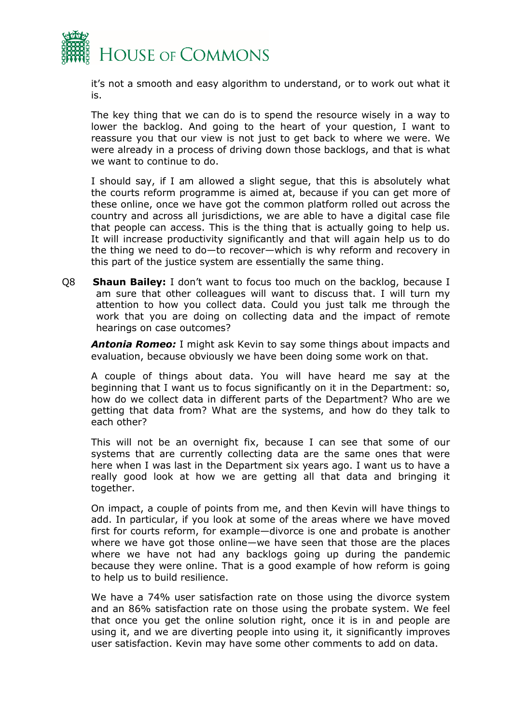

it's not a smooth and easy algorithm to understand, or to work out what it is.

The key thing that we can do is to spend the resource wisely in a way to lower the backlog. And going to the heart of your question, I want to reassure you that our view is not just to get back to where we were. We were already in a process of driving down those backlogs, and that is what we want to continue to do.

I should say, if I am allowed a slight segue, that this is absolutely what the courts reform programme is aimed at, because if you can get more of these online, once we have got the common platform rolled out across the country and across all jurisdictions, we are able to have a digital case file that people can access. This is the thing that is actually going to help us. It will increase productivity significantly and that will again help us to do the thing we need to do—to recover—which is why reform and recovery in this part of the justice system are essentially the same thing.

Q8 **Shaun Bailey:** I don't want to focus too much on the backlog, because I am sure that other colleagues will want to discuss that. I will turn my attention to how you collect data. Could you just talk me through the work that you are doing on collecting data and the impact of remote hearings on case outcomes?

*Antonia Romeo:* I might ask Kevin to say some things about impacts and evaluation, because obviously we have been doing some work on that.

A couple of things about data. You will have heard me say at the beginning that I want us to focus significantly on it in the Department: so, how do we collect data in different parts of the Department? Who are we getting that data from? What are the systems, and how do they talk to each other?

This will not be an overnight fix, because I can see that some of our systems that are currently collecting data are the same ones that were here when I was last in the Department six years ago. I want us to have a really good look at how we are getting all that data and bringing it together.

On impact, a couple of points from me, and then Kevin will have things to add. In particular, if you look at some of the areas where we have moved first for courts reform, for example—divorce is one and probate is another where we have got those online—we have seen that those are the places where we have not had any backlogs going up during the pandemic because they were online. That is a good example of how reform is going to help us to build resilience.

We have a 74% user satisfaction rate on those using the divorce system and an 86% satisfaction rate on those using the probate system. We feel that once you get the online solution right, once it is in and people are using it, and we are diverting people into using it, it significantly improves user satisfaction. Kevin may have some other comments to add on data.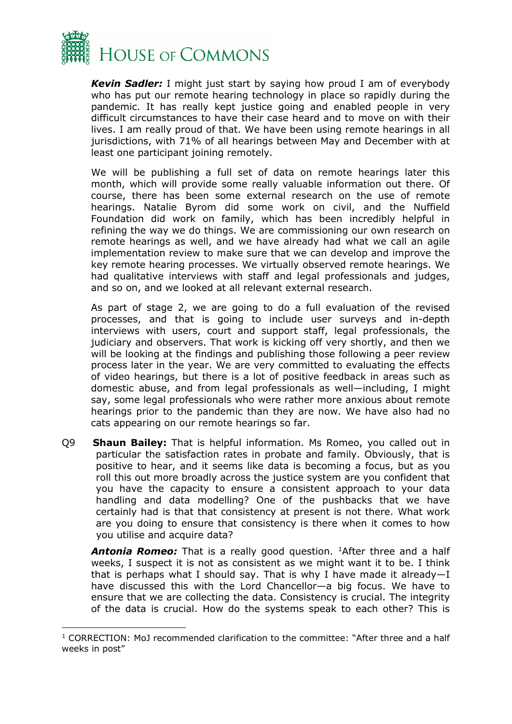

*Kevin Sadler:* I might just start by saying how proud I am of everybody who has put our remote hearing technology in place so rapidly during the pandemic. It has really kept justice going and enabled people in very difficult circumstances to have their case heard and to move on with their lives. I am really proud of that. We have been using remote hearings in all jurisdictions, with 71% of all hearings between May and December with at least one participant joining remotely.

We will be publishing a full set of data on remote hearings later this month, which will provide some really valuable information out there. Of course, there has been some external research on the use of remote hearings. Natalie Byrom did some work on civil, and the Nuffield Foundation did work on family, which has been incredibly helpful in refining the way we do things. We are commissioning our own research on remote hearings as well, and we have already had what we call an agile implementation review to make sure that we can develop and improve the key remote hearing processes. We virtually observed remote hearings. We had qualitative interviews with staff and legal professionals and judges, and so on, and we looked at all relevant external research.

As part of stage 2, we are going to do a full evaluation of the revised processes, and that is going to include user surveys and in-depth interviews with users, court and support staff, legal professionals, the judiciary and observers. That work is kicking off very shortly, and then we will be looking at the findings and publishing those following a peer review process later in the year. We are very committed to evaluating the effects of video hearings, but there is a lot of positive feedback in areas such as domestic abuse, and from legal professionals as well—including, I might say, some legal professionals who were rather more anxious about remote hearings prior to the pandemic than they are now. We have also had no cats appearing on our remote hearings so far.

Q9 **Shaun Bailey:** That is helpful information. Ms Romeo, you called out in particular the satisfaction rates in probate and family. Obviously, that is positive to hear, and it seems like data is becoming a focus, but as you roll this out more broadly across the justice system are you confident that you have the capacity to ensure a consistent approach to your data handling and data modelling? One of the pushbacks that we have certainly had is that that consistency at present is not there. What work are you doing to ensure that consistency is there when it comes to how you utilise and acquire data?

**Antonia Romeo:** That is a really good question. <sup>1</sup>After three and a half weeks, I suspect it is not as consistent as we might want it to be. I think that is perhaps what I should say. That is why I have made it already—I have discussed this with the Lord Chancellor—a big focus. We have to ensure that we are collecting the data. Consistency is crucial. The integrity of the data is crucial. How do the systems speak to each other? This is

<span id="page-6-0"></span><sup>&</sup>lt;sup>1</sup> CORRECTION: MoJ recommended clarification to the committee: "After three and a half weeks in post"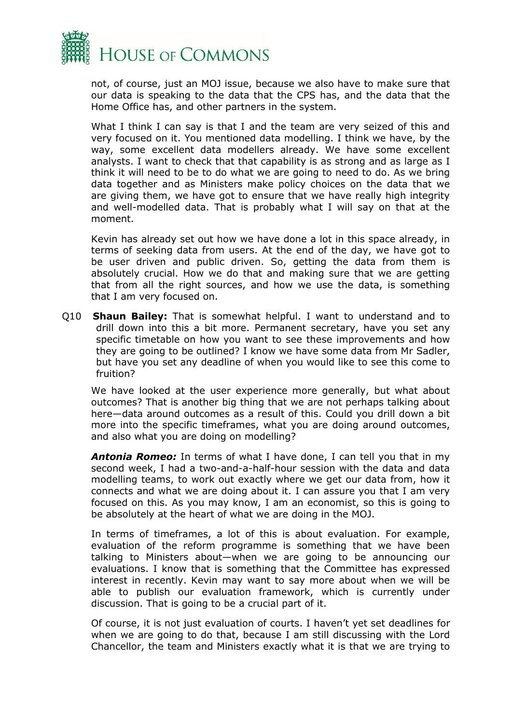

not, of course, just an MOJ issue, because we also have to make sure that our data is speaking to the data that the CPS has, and the data that the Home Office has, and other partners in the system.

What I think I can say is that I and the team are very seized of this and very focused on it. You mentioned data modelling. I think we have, by the way, some excellent data modellers already. We have some excellent analysts. I want to check that that capability is as strong and as large as I think it will need to be to do what we are going to need to do. As we bring data together and as Ministers make policy choices on the data that we are giving them, we have got to ensure that we have really high integrity and well-modelled data. That is probably what I will say on that at the moment.

Kevin has already set out how we have done a lot in this space already, in terms of seeking data from users. At the end of the day, we have got to be user driven and public driven. So, getting the data from them is absolutely crucial. How we do that and making sure that we are getting that from all the right sources, and how we use the data, is something that I am very focused on.

Q10 **Shaun Bailey:** That is somewhat helpful. I want to understand and to drill down into this a bit more. Permanent secretary, have you set any specific timetable on how you want to see these improvements and how they are going to be outlined? I know we have some data from Mr Sadler, but have you set any deadline of when you would like to see this come to fruition?

We have looked at the user experience more generally, but what about outcomes? That is another big thing that we are not perhaps talking about here—data around outcomes as a result of this. Could you drill down a bit more into the specific timeframes, what you are doing around outcomes, and also what you are doing on modelling?

*Antonia Romeo:* In terms of what I have done, I can tell you that in my second week, I had a two-and-a-half-hour session with the data and data modelling teams, to work out exactly where we get our data from, how it connects and what we are doing about it. I can assure you that I am very focused on this. As you may know, I am an economist, so this is going to be absolutely at the heart of what we are doing in the MOJ.

In terms of timeframes, a lot of this is about evaluation. For example, evaluation of the reform programme is something that we have been talking to Ministers about—when we are going to be announcing our evaluations. I know that is something that the Committee has expressed interest in recently. Kevin may want to say more about when we will be able to publish our evaluation framework, which is currently under discussion. That is going to be a crucial part of it.

Of course, it is not just evaluation of courts. I haven't yet set deadlines for when we are going to do that, because I am still discussing with the Lord Chancellor, the team and Ministers exactly what it is that we are trying to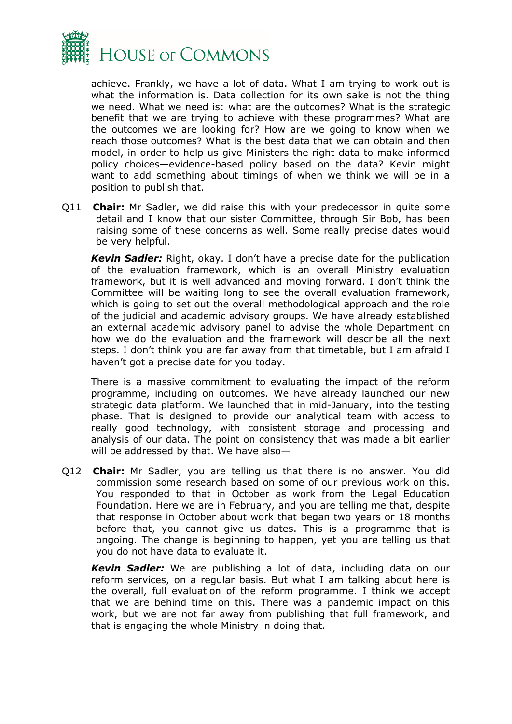

achieve. Frankly, we have a lot of data. What I am trying to work out is what the information is. Data collection for its own sake is not the thing we need. What we need is: what are the outcomes? What is the strategic benefit that we are trying to achieve with these programmes? What are the outcomes we are looking for? How are we going to know when we reach those outcomes? What is the best data that we can obtain and then model, in order to help us give Ministers the right data to make informed policy choices—evidence-based policy based on the data? Kevin might want to add something about timings of when we think we will be in a position to publish that.

Q11 **Chair:** Mr Sadler, we did raise this with your predecessor in quite some detail and I know that our sister Committee, through Sir Bob, has been raising some of these concerns as well. Some really precise dates would be very helpful.

*Kevin Sadler:* Right, okay. I don't have a precise date for the publication of the evaluation framework, which is an overall Ministry evaluation framework, but it is well advanced and moving forward. I don't think the Committee will be waiting long to see the overall evaluation framework, which is going to set out the overall methodological approach and the role of the judicial and academic advisory groups. We have already established an external academic advisory panel to advise the whole Department on how we do the evaluation and the framework will describe all the next steps. I don't think you are far away from that timetable, but I am afraid I haven't got a precise date for you today.

There is a massive commitment to evaluating the impact of the reform programme, including on outcomes. We have already launched our new strategic data platform. We launched that in mid-January, into the testing phase. That is designed to provide our analytical team with access to really good technology, with consistent storage and processing and analysis of our data. The point on consistency that was made a bit earlier will be addressed by that. We have also—

Q12 **Chair:** Mr Sadler, you are telling us that there is no answer. You did commission some research based on some of our previous work on this. You responded to that in October as work from the Legal Education Foundation. Here we are in February, and you are telling me that, despite that response in October about work that began two years or 18 months before that, you cannot give us dates. This is a programme that is ongoing. The change is beginning to happen, yet you are telling us that you do not have data to evaluate it.

*Kevin Sadler:* We are publishing a lot of data, including data on our reform services, on a regular basis. But what I am talking about here is the overall, full evaluation of the reform programme. I think we accept that we are behind time on this. There was a pandemic impact on this work, but we are not far away from publishing that full framework, and that is engaging the whole Ministry in doing that.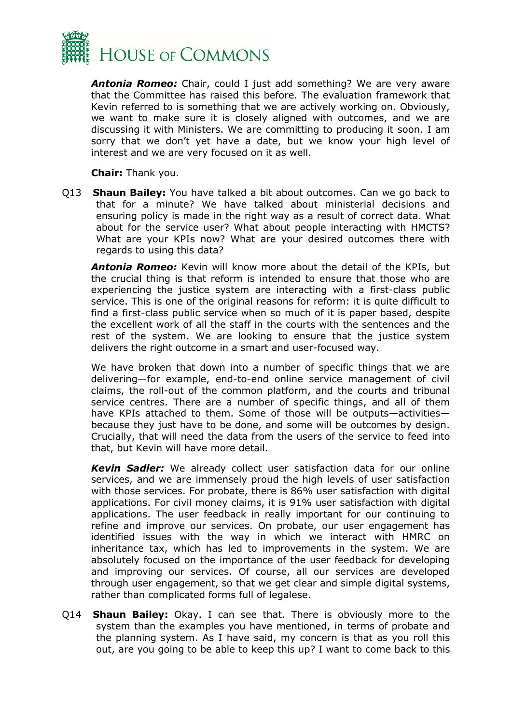

*Antonia Romeo:* Chair, could I just add something? We are very aware that the Committee has raised this before. The evaluation framework that Kevin referred to is something that we are actively working on. Obviously, we want to make sure it is closely aligned with outcomes, and we are discussing it with Ministers. We are committing to producing it soon. I am sorry that we don't yet have a date, but we know your high level of interest and we are very focused on it as well.

**Chair:** Thank you.

Q13 **Shaun Bailey:** You have talked a bit about outcomes. Can we go back to that for a minute? We have talked about ministerial decisions and ensuring policy is made in the right way as a result of correct data. What about for the service user? What about people interacting with HMCTS? What are your KPIs now? What are your desired outcomes there with regards to using this data?

*Antonia Romeo:* Kevin will know more about the detail of the KPIs, but the crucial thing is that reform is intended to ensure that those who are experiencing the justice system are interacting with a first-class public service. This is one of the original reasons for reform: it is quite difficult to find a first-class public service when so much of it is paper based, despite the excellent work of all the staff in the courts with the sentences and the rest of the system. We are looking to ensure that the justice system delivers the right outcome in a smart and user-focused way.

We have broken that down into a number of specific things that we are delivering—for example, end-to-end online service management of civil claims, the roll-out of the common platform, and the courts and tribunal service centres. There are a number of specific things, and all of them have KPIs attached to them. Some of those will be outputs—activities because they just have to be done, and some will be outcomes by design. Crucially, that will need the data from the users of the service to feed into that, but Kevin will have more detail.

*Kevin Sadler:* We already collect user satisfaction data for our online services, and we are immensely proud the high levels of user satisfaction with those services. For probate, there is 86% user satisfaction with digital applications. For civil money claims, it is 91% user satisfaction with digital applications. The user feedback in really important for our continuing to refine and improve our services. On probate, our user engagement has identified issues with the way in which we interact with HMRC on inheritance tax, which has led to improvements in the system. We are absolutely focused on the importance of the user feedback for developing and improving our services. Of course, all our services are developed through user engagement, so that we get clear and simple digital systems, rather than complicated forms full of legalese.

Q14 **Shaun Bailey:** Okay. I can see that. There is obviously more to the system than the examples you have mentioned, in terms of probate and the planning system. As I have said, my concern is that as you roll this out, are you going to be able to keep this up? I want to come back to this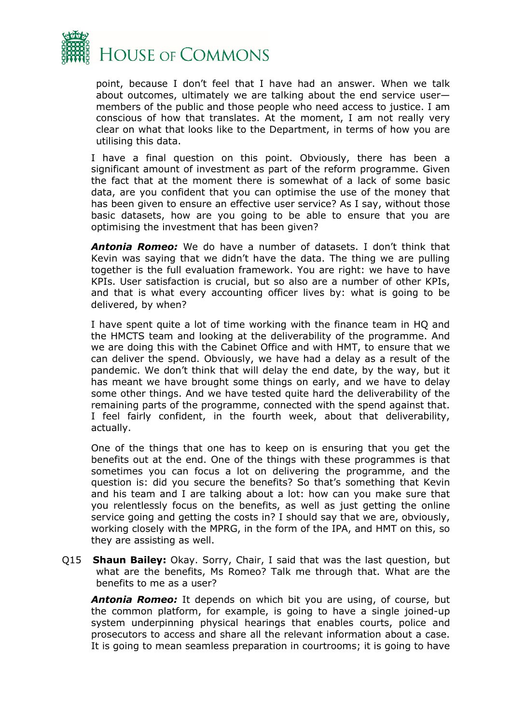

point, because I don't feel that I have had an answer. When we talk about outcomes, ultimately we are talking about the end service user members of the public and those people who need access to justice. I am conscious of how that translates. At the moment, I am not really very clear on what that looks like to the Department, in terms of how you are utilising this data.

I have a final question on this point. Obviously, there has been a significant amount of investment as part of the reform programme. Given the fact that at the moment there is somewhat of a lack of some basic data, are you confident that you can optimise the use of the money that has been given to ensure an effective user service? As I say, without those basic datasets, how are you going to be able to ensure that you are optimising the investment that has been given?

*Antonia Romeo:* We do have a number of datasets. I don't think that Kevin was saying that we didn't have the data. The thing we are pulling together is the full evaluation framework. You are right: we have to have KPIs. User satisfaction is crucial, but so also are a number of other KPIs, and that is what every accounting officer lives by: what is going to be delivered, by when?

I have spent quite a lot of time working with the finance team in HQ and the HMCTS team and looking at the deliverability of the programme. And we are doing this with the Cabinet Office and with HMT, to ensure that we can deliver the spend. Obviously, we have had a delay as a result of the pandemic. We don't think that will delay the end date, by the way, but it has meant we have brought some things on early, and we have to delay some other things. And we have tested quite hard the deliverability of the remaining parts of the programme, connected with the spend against that. I feel fairly confident, in the fourth week, about that deliverability, actually.

One of the things that one has to keep on is ensuring that you get the benefits out at the end. One of the things with these programmes is that sometimes you can focus a lot on delivering the programme, and the question is: did you secure the benefits? So that's something that Kevin and his team and I are talking about a lot: how can you make sure that you relentlessly focus on the benefits, as well as just getting the online service going and getting the costs in? I should say that we are, obviously, working closely with the MPRG, in the form of the IPA, and HMT on this, so they are assisting as well.

Q15 **Shaun Bailey:** Okay. Sorry, Chair, I said that was the last question, but what are the benefits, Ms Romeo? Talk me through that. What are the benefits to me as a user?

*Antonia Romeo:* It depends on which bit you are using, of course, but the common platform, for example, is going to have a single joined-up system underpinning physical hearings that enables courts, police and prosecutors to access and share all the relevant information about a case. It is going to mean seamless preparation in courtrooms; it is going to have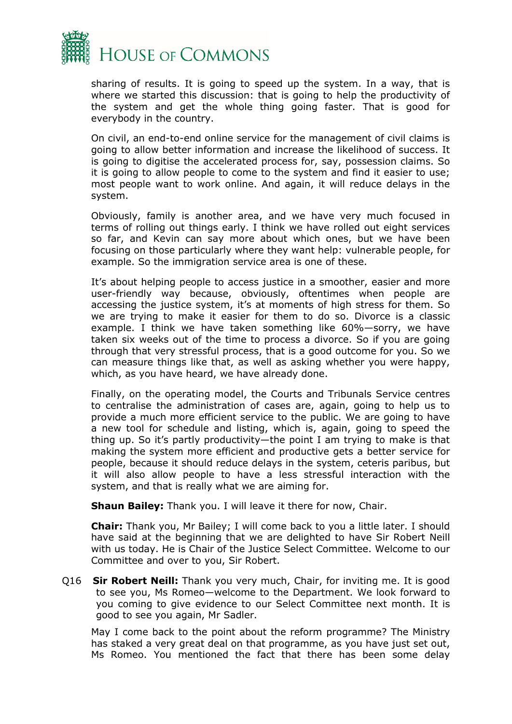

sharing of results. It is going to speed up the system. In a way, that is where we started this discussion: that is going to help the productivity of the system and get the whole thing going faster. That is good for everybody in the country.

On civil, an end-to-end online service for the management of civil claims is going to allow better information and increase the likelihood of success. It is going to digitise the accelerated process for, say, possession claims. So it is going to allow people to come to the system and find it easier to use; most people want to work online. And again, it will reduce delays in the system.

Obviously, family is another area, and we have very much focused in terms of rolling out things early. I think we have rolled out eight services so far, and Kevin can say more about which ones, but we have been focusing on those particularly where they want help: vulnerable people, for example. So the immigration service area is one of these.

It's about helping people to access justice in a smoother, easier and more user-friendly way because, obviously, oftentimes when people are accessing the justice system, it's at moments of high stress for them. So we are trying to make it easier for them to do so. Divorce is a classic example. I think we have taken something like 60%—sorry, we have taken six weeks out of the time to process a divorce. So if you are going through that very stressful process, that is a good outcome for you. So we can measure things like that, as well as asking whether you were happy, which, as you have heard, we have already done.

Finally, on the operating model, the Courts and Tribunals Service centres to centralise the administration of cases are, again, going to help us to provide a much more efficient service to the public. We are going to have a new tool for schedule and listing, which is, again, going to speed the thing up. So it's partly productivity—the point I am trying to make is that making the system more efficient and productive gets a better service for people, because it should reduce delays in the system, ceteris paribus, but it will also allow people to have a less stressful interaction with the system, and that is really what we are aiming for.

**Shaun Bailey:** Thank you. I will leave it there for now, Chair.

**Chair:** Thank you, Mr Bailey; I will come back to you a little later. I should have said at the beginning that we are delighted to have Sir Robert Neill with us today. He is Chair of the Justice Select Committee. Welcome to our Committee and over to you, Sir Robert.

Q16 **Sir Robert Neill:** Thank you very much, Chair, for inviting me. It is good to see you, Ms Romeo—welcome to the Department. We look forward to you coming to give evidence to our Select Committee next month. It is good to see you again, Mr Sadler.

May I come back to the point about the reform programme? The Ministry has staked a very great deal on that programme, as you have just set out, Ms Romeo. You mentioned the fact that there has been some delay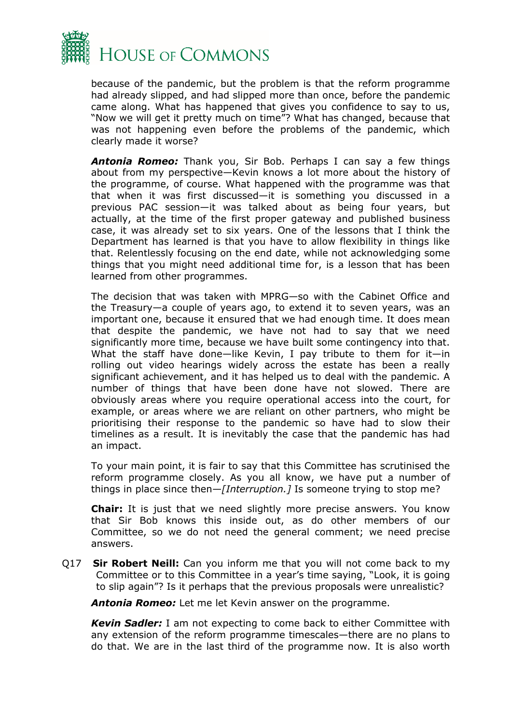

because of the pandemic, but the problem is that the reform programme had already slipped, and had slipped more than once, before the pandemic came along. What has happened that gives you confidence to say to us, "Now we will get it pretty much on time"? What has changed, because that was not happening even before the problems of the pandemic, which clearly made it worse?

*Antonia Romeo:* Thank you, Sir Bob. Perhaps I can say a few things about from my perspective—Kevin knows a lot more about the history of the programme, of course. What happened with the programme was that that when it was first discussed—it is something you discussed in a previous PAC session—it was talked about as being four years, but actually, at the time of the first proper gateway and published business case, it was already set to six years. One of the lessons that I think the Department has learned is that you have to allow flexibility in things like that. Relentlessly focusing on the end date, while not acknowledging some things that you might need additional time for, is a lesson that has been learned from other programmes.

The decision that was taken with MPRG—so with the Cabinet Office and the Treasury—a couple of years ago, to extend it to seven years, was an important one, because it ensured that we had enough time. It does mean that despite the pandemic, we have not had to say that we need significantly more time, because we have built some contingency into that. What the staff have done—like Kevin, I pay tribute to them for it—in rolling out video hearings widely across the estate has been a really significant achievement, and it has helped us to deal with the pandemic. A number of things that have been done have not slowed. There are obviously areas where you require operational access into the court, for example, or areas where we are reliant on other partners, who might be prioritising their response to the pandemic so have had to slow their timelines as a result. It is inevitably the case that the pandemic has had an impact.

To your main point, it is fair to say that this Committee has scrutinised the reform programme closely. As you all know, we have put a number of things in place since then—*[Interruption.]* Is someone trying to stop me?

**Chair:** It is just that we need slightly more precise answers. You know that Sir Bob knows this inside out, as do other members of our Committee, so we do not need the general comment; we need precise answers.

Q17 **Sir Robert Neill:** Can you inform me that you will not come back to my Committee or to this Committee in a year's time saying, "Look, it is going to slip again"? Is it perhaps that the previous proposals were unrealistic?

*Antonia Romeo:* Let me let Kevin answer on the programme.

*Kevin Sadler:* I am not expecting to come back to either Committee with any extension of the reform programme timescales—there are no plans to do that. We are in the last third of the programme now. It is also worth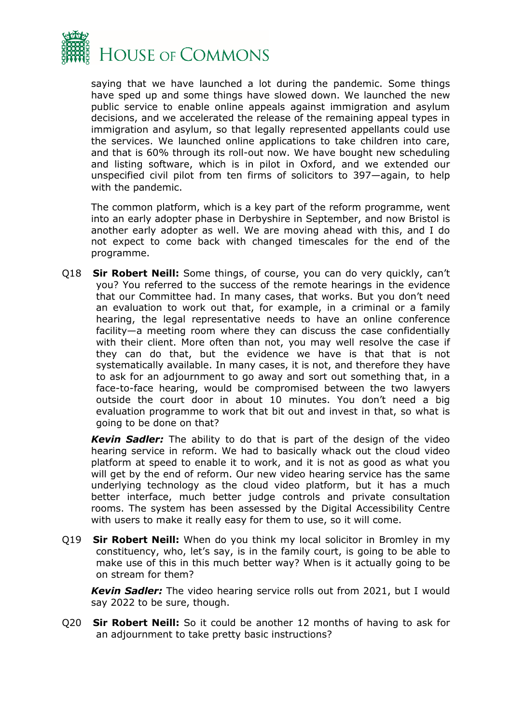

saying that we have launched a lot during the pandemic. Some things have sped up and some things have slowed down. We launched the new public service to enable online appeals against immigration and asylum decisions, and we accelerated the release of the remaining appeal types in immigration and asylum, so that legally represented appellants could use the services. We launched online applications to take children into care, and that is 60% through its roll-out now. We have bought new scheduling and listing software, which is in pilot in Oxford, and we extended our unspecified civil pilot from ten firms of solicitors to 397—again, to help with the pandemic.

The common platform, which is a key part of the reform programme, went into an early adopter phase in Derbyshire in September, and now Bristol is another early adopter as well. We are moving ahead with this, and I do not expect to come back with changed timescales for the end of the programme.

Q18 **Sir Robert Neill:** Some things, of course, you can do very quickly, can't you? You referred to the success of the remote hearings in the evidence that our Committee had. In many cases, that works. But you don't need an evaluation to work out that, for example, in a criminal or a family hearing, the legal representative needs to have an online conference facility—a meeting room where they can discuss the case confidentially with their client. More often than not, you may well resolve the case if they can do that, but the evidence we have is that that is not systematically available. In many cases, it is not, and therefore they have to ask for an adjournment to go away and sort out something that, in a face-to-face hearing, would be compromised between the two lawyers outside the court door in about 10 minutes. You don't need a big evaluation programme to work that bit out and invest in that, so what is going to be done on that?

*Kevin Sadler:* The ability to do that is part of the design of the video hearing service in reform. We had to basically whack out the cloud video platform at speed to enable it to work, and it is not as good as what you will get by the end of reform. Our new video hearing service has the same underlying technology as the cloud video platform, but it has a much better interface, much better judge controls and private consultation rooms. The system has been assessed by the Digital Accessibility Centre with users to make it really easy for them to use, so it will come.

Q19 **Sir Robert Neill:** When do you think my local solicitor in Bromley in my constituency, who, let's say, is in the family court, is going to be able to make use of this in this much better way? When is it actually going to be on stream for them?

*Kevin Sadler:* The video hearing service rolls out from 2021, but I would say 2022 to be sure, though.

Q20 **Sir Robert Neill:** So it could be another 12 months of having to ask for an adjournment to take pretty basic instructions?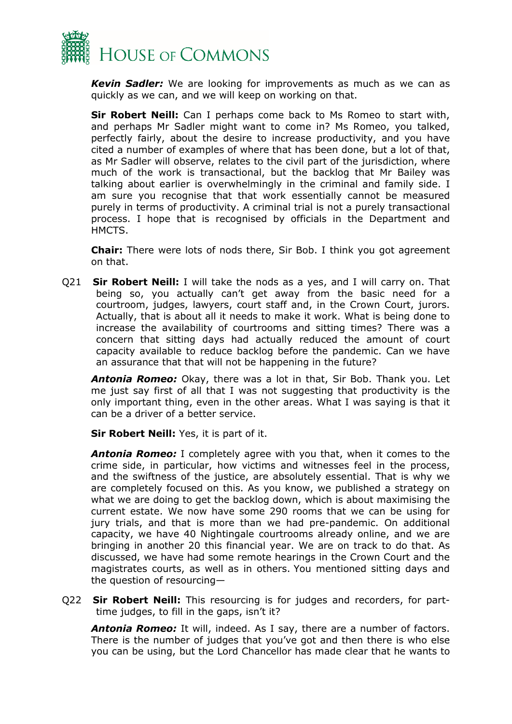

*Kevin Sadler:* We are looking for improvements as much as we can as quickly as we can, and we will keep on working on that.

**Sir Robert Neill:** Can I perhaps come back to Ms Romeo to start with, and perhaps Mr Sadler might want to come in? Ms Romeo, you talked, perfectly fairly, about the desire to increase productivity, and you have cited a number of examples of where that has been done, but a lot of that, as Mr Sadler will observe, relates to the civil part of the jurisdiction, where much of the work is transactional, but the backlog that Mr Bailey was talking about earlier is overwhelmingly in the criminal and family side. I am sure you recognise that that work essentially cannot be measured purely in terms of productivity. A criminal trial is not a purely transactional process. I hope that is recognised by officials in the Department and HMCTS.

**Chair:** There were lots of nods there, Sir Bob. I think you got agreement on that.

Q21 **Sir Robert Neill:** I will take the nods as a yes, and I will carry on. That being so, you actually can't get away from the basic need for a courtroom, judges, lawyers, court staff and, in the Crown Court, jurors. Actually, that is about all it needs to make it work. What is being done to increase the availability of courtrooms and sitting times? There was a concern that sitting days had actually reduced the amount of court capacity available to reduce backlog before the pandemic. Can we have an assurance that that will not be happening in the future?

*Antonia Romeo:* Okay, there was a lot in that, Sir Bob. Thank you. Let me just say first of all that I was not suggesting that productivity is the only important thing, even in the other areas. What I was saying is that it can be a driver of a better service.

**Sir Robert Neill:** Yes, it is part of it.

*Antonia Romeo:* I completely agree with you that, when it comes to the crime side, in particular, how victims and witnesses feel in the process, and the swiftness of the justice, are absolutely essential. That is why we are completely focused on this. As you know, we published a strategy on what we are doing to get the backlog down, which is about maximising the current estate. We now have some 290 rooms that we can be using for jury trials, and that is more than we had pre-pandemic. On additional capacity, we have 40 Nightingale courtrooms already online, and we are bringing in another 20 this financial year. We are on track to do that. As discussed, we have had some remote hearings in the Crown Court and the magistrates courts, as well as in others. You mentioned sitting days and the question of resourcing—

Q22 **Sir Robert Neill:** This resourcing is for judges and recorders, for parttime judges, to fill in the gaps, isn't it?

*Antonia Romeo:* It will, indeed. As I say, there are a number of factors. There is the number of judges that you've got and then there is who else you can be using, but the Lord Chancellor has made clear that he wants to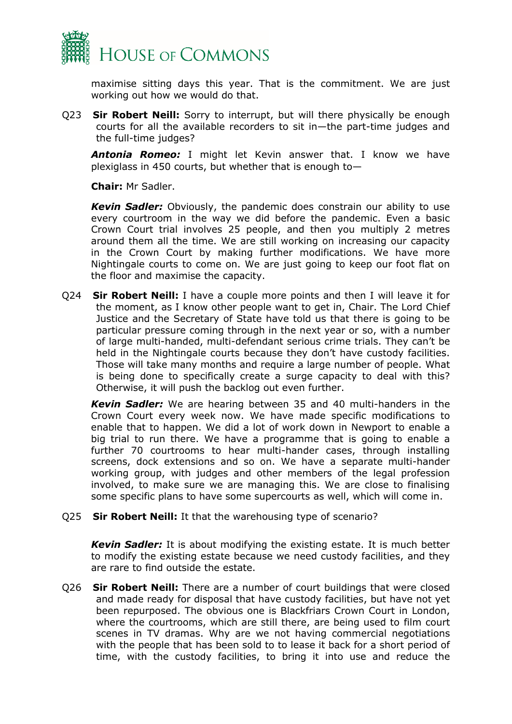

maximise sitting days this year. That is the commitment. We are just working out how we would do that.

Q23 **Sir Robert Neill:** Sorry to interrupt, but will there physically be enough courts for all the available recorders to sit in—the part-time judges and the full-time judges?

*Antonia Romeo:* I might let Kevin answer that. I know we have plexiglass in 450 courts, but whether that is enough to—

**Chair:** Mr Sadler.

*Kevin Sadler:* Obviously, the pandemic does constrain our ability to use every courtroom in the way we did before the pandemic. Even a basic Crown Court trial involves 25 people, and then you multiply 2 metres around them all the time. We are still working on increasing our capacity in the Crown Court by making further modifications. We have more Nightingale courts to come on. We are just going to keep our foot flat on the floor and maximise the capacity.

Q24 **Sir Robert Neill:** I have a couple more points and then I will leave it for the moment, as I know other people want to get in, Chair. The Lord Chief Justice and the Secretary of State have told us that there is going to be particular pressure coming through in the next year or so, with a number of large multi-handed, multi-defendant serious crime trials. They can't be held in the Nightingale courts because they don't have custody facilities. Those will take many months and require a large number of people. What is being done to specifically create a surge capacity to deal with this? Otherwise, it will push the backlog out even further.

*Kevin Sadler:* We are hearing between 35 and 40 multi-handers in the Crown Court every week now. We have made specific modifications to enable that to happen. We did a lot of work down in Newport to enable a big trial to run there. We have a programme that is going to enable a further 70 courtrooms to hear multi-hander cases, through installing screens, dock extensions and so on. We have a separate multi-hander working group, with judges and other members of the legal profession involved, to make sure we are managing this. We are close to finalising some specific plans to have some supercourts as well, which will come in.

Q25 **Sir Robert Neill:** It that the warehousing type of scenario?

*Kevin Sadler:* It is about modifying the existing estate. It is much better to modify the existing estate because we need custody facilities, and they are rare to find outside the estate.

Q26 **Sir Robert Neill:** There are a number of court buildings that were closed and made ready for disposal that have custody facilities, but have not yet been repurposed. The obvious one is Blackfriars Crown Court in London, where the courtrooms, which are still there, are being used to film court scenes in TV dramas. Why are we not having commercial negotiations with the people that has been sold to to lease it back for a short period of time, with the custody facilities, to bring it into use and reduce the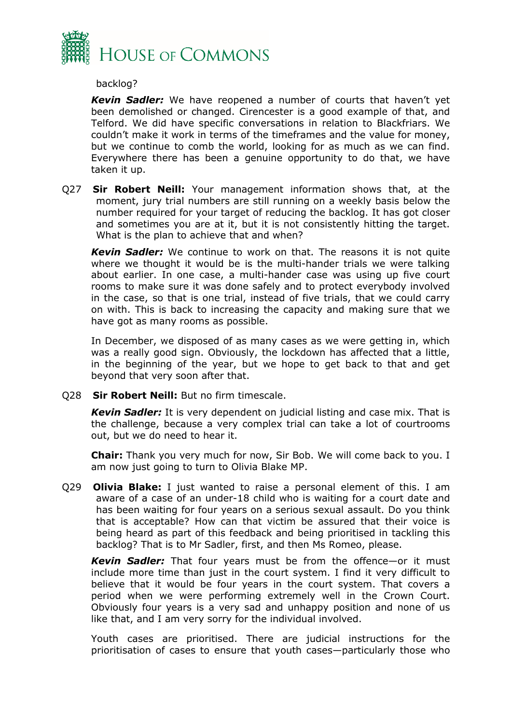

#### backlog?

*Kevin Sadler:* We have reopened a number of courts that haven't yet been demolished or changed. Cirencester is a good example of that, and Telford. We did have specific conversations in relation to Blackfriars. We couldn't make it work in terms of the timeframes and the value for money, but we continue to comb the world, looking for as much as we can find. Everywhere there has been a genuine opportunity to do that, we have taken it up.

Q27 **Sir Robert Neill:** Your management information shows that, at the moment, jury trial numbers are still running on a weekly basis below the number required for your target of reducing the backlog. It has got closer and sometimes you are at it, but it is not consistently hitting the target. What is the plan to achieve that and when?

*Kevin Sadler:* We continue to work on that. The reasons it is not quite where we thought it would be is the multi-hander trials we were talking about earlier. In one case, a multi-hander case was using up five court rooms to make sure it was done safely and to protect everybody involved in the case, so that is one trial, instead of five trials, that we could carry on with. This is back to increasing the capacity and making sure that we have got as many rooms as possible.

In December, we disposed of as many cases as we were getting in, which was a really good sign. Obviously, the lockdown has affected that a little, in the beginning of the year, but we hope to get back to that and get beyond that very soon after that.

Q28 **Sir Robert Neill:** But no firm timescale.

*Kevin Sadler:* It is very dependent on judicial listing and case mix. That is the challenge, because a very complex trial can take a lot of courtrooms out, but we do need to hear it.

**Chair:** Thank you very much for now, Sir Bob. We will come back to you. I am now just going to turn to Olivia Blake MP.

Q29 **Olivia Blake:** I just wanted to raise a personal element of this. I am aware of a case of an under-18 child who is waiting for a court date and has been waiting for four years on a serious sexual assault. Do you think that is acceptable? How can that victim be assured that their voice is being heard as part of this feedback and being prioritised in tackling this backlog? That is to Mr Sadler, first, and then Ms Romeo, please.

*Kevin Sadler:* That four years must be from the offence—or it must include more time than just in the court system. I find it very difficult to believe that it would be four years in the court system. That covers a period when we were performing extremely well in the Crown Court. Obviously four years is a very sad and unhappy position and none of us like that, and I am very sorry for the individual involved.

Youth cases are prioritised. There are judicial instructions for the prioritisation of cases to ensure that youth cases—particularly those who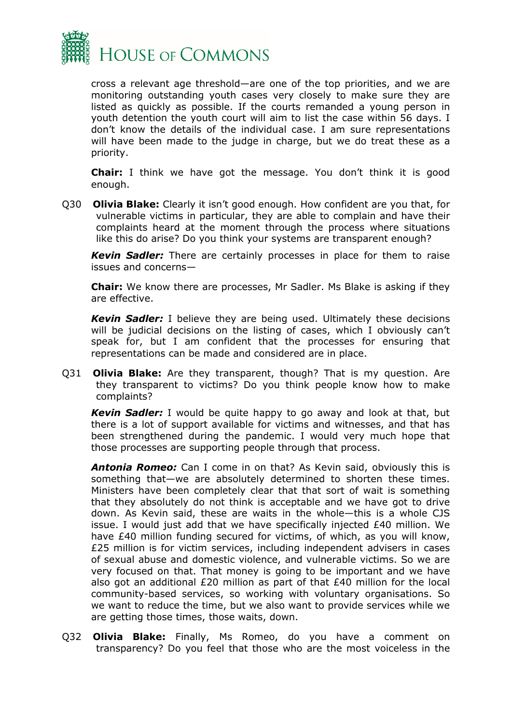

cross a relevant age threshold—are one of the top priorities, and we are monitoring outstanding youth cases very closely to make sure they are listed as quickly as possible. If the courts remanded a young person in youth detention the youth court will aim to list the case within 56 days. I don't know the details of the individual case. I am sure representations will have been made to the judge in charge, but we do treat these as a priority.

**Chair:** I think we have got the message. You don't think it is good enough.

Q30 **Olivia Blake:** Clearly it isn't good enough. How confident are you that, for vulnerable victims in particular, they are able to complain and have their complaints heard at the moment through the process where situations like this do arise? Do you think your systems are transparent enough?

*Kevin Sadler:* There are certainly processes in place for them to raise issues and concerns—

**Chair:** We know there are processes, Mr Sadler. Ms Blake is asking if they are effective.

*Kevin Sadler:* I believe they are being used. Ultimately these decisions will be judicial decisions on the listing of cases, which I obviously can't speak for, but I am confident that the processes for ensuring that representations can be made and considered are in place.

Q31 **Olivia Blake:** Are they transparent, though? That is my question. Are they transparent to victims? Do you think people know how to make complaints?

*Kevin Sadler:* I would be quite happy to go away and look at that, but there is a lot of support available for victims and witnesses, and that has been strengthened during the pandemic. I would very much hope that those processes are supporting people through that process.

*Antonia Romeo:* Can I come in on that? As Kevin said, obviously this is something that—we are absolutely determined to shorten these times. Ministers have been completely clear that that sort of wait is something that they absolutely do not think is acceptable and we have got to drive down. As Kevin said, these are waits in the whole—this is a whole CJS issue. I would just add that we have specifically injected £40 million. We have £40 million funding secured for victims, of which, as you will know, £25 million is for victim services, including independent advisers in cases of sexual abuse and domestic violence, and vulnerable victims. So we are very focused on that. That money is going to be important and we have also got an additional £20 million as part of that £40 million for the local community-based services, so working with voluntary organisations. So we want to reduce the time, but we also want to provide services while we are getting those times, those waits, down.

Q32 **Olivia Blake:** Finally, Ms Romeo, do you have a comment on transparency? Do you feel that those who are the most voiceless in the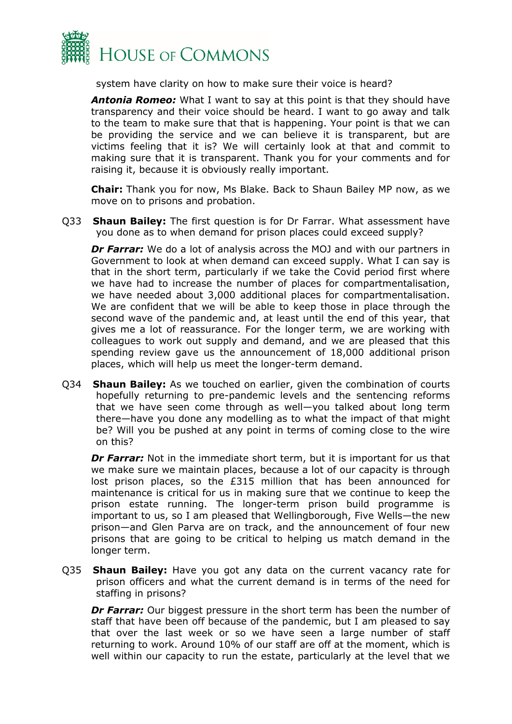

system have clarity on how to make sure their voice is heard?

*Antonia Romeo:* What I want to say at this point is that they should have transparency and their voice should be heard. I want to go away and talk to the team to make sure that that is happening. Your point is that we can be providing the service and we can believe it is transparent, but are victims feeling that it is? We will certainly look at that and commit to making sure that it is transparent. Thank you for your comments and for raising it, because it is obviously really important.

**Chair:** Thank you for now, Ms Blake. Back to Shaun Bailey MP now, as we move on to prisons and probation.

Q33 **Shaun Bailey:** The first question is for Dr Farrar. What assessment have you done as to when demand for prison places could exceed supply?

**Dr Farrar:** We do a lot of analysis across the MOJ and with our partners in Government to look at when demand can exceed supply. What I can say is that in the short term, particularly if we take the Covid period first where we have had to increase the number of places for compartmentalisation, we have needed about 3,000 additional places for compartmentalisation. We are confident that we will be able to keep those in place through the second wave of the pandemic and, at least until the end of this year, that gives me a lot of reassurance. For the longer term, we are working with colleagues to work out supply and demand, and we are pleased that this spending review gave us the announcement of 18,000 additional prison places, which will help us meet the longer-term demand.

Q34 **Shaun Bailey:** As we touched on earlier, given the combination of courts hopefully returning to pre-pandemic levels and the sentencing reforms that we have seen come through as well—you talked about long term there—have you done any modelling as to what the impact of that might be? Will you be pushed at any point in terms of coming close to the wire on this?

**Dr Farrar:** Not in the immediate short term, but it is important for us that we make sure we maintain places, because a lot of our capacity is through lost prison places, so the £315 million that has been announced for maintenance is critical for us in making sure that we continue to keep the prison estate running. The longer-term prison build programme is important to us, so I am pleased that Wellingborough, Five Wells—the new prison—and Glen Parva are on track, and the announcement of four new prisons that are going to be critical to helping us match demand in the longer term.

Q35 **Shaun Bailey:** Have you got any data on the current vacancy rate for prison officers and what the current demand is in terms of the need for staffing in prisons?

*Dr Farrar:* Our biggest pressure in the short term has been the number of staff that have been off because of the pandemic, but I am pleased to say that over the last week or so we have seen a large number of staff returning to work. Around 10% of our staff are off at the moment, which is well within our capacity to run the estate, particularly at the level that we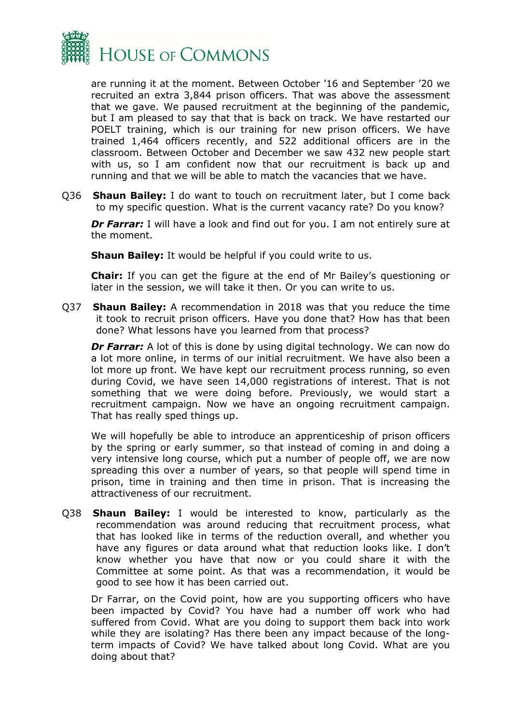

are running it at the moment. Between October '16 and September '20 we recruited an extra 3,844 prison officers. That was above the assessment that we gave. We paused recruitment at the beginning of the pandemic, but I am pleased to say that that is back on track. We have restarted our POELT training, which is our training for new prison officers. We have trained 1,464 officers recently, and 522 additional officers are in the classroom. Between October and December we saw 432 new people start with us, so I am confident now that our recruitment is back up and running and that we will be able to match the vacancies that we have.

Q36 **Shaun Bailey:** I do want to touch on recruitment later, but I come back to my specific question. What is the current vacancy rate? Do you know?

**Dr Farrar:** I will have a look and find out for you. I am not entirely sure at the moment.

**Shaun Bailey:** It would be helpful if you could write to us.

**Chair:** If you can get the figure at the end of Mr Bailey's questioning or later in the session, we will take it then. Or you can write to us.

Q37 **Shaun Bailey:** A recommendation in 2018 was that you reduce the time it took to recruit prison officers. Have you done that? How has that been done? What lessons have you learned from that process?

**Dr Farrar:** A lot of this is done by using digital technology. We can now do a lot more online, in terms of our initial recruitment. We have also been a lot more up front. We have kept our recruitment process running, so even during Covid, we have seen 14,000 registrations of interest. That is not something that we were doing before. Previously, we would start a recruitment campaign. Now we have an ongoing recruitment campaign. That has really sped things up.

We will hopefully be able to introduce an apprenticeship of prison officers by the spring or early summer, so that instead of coming in and doing a very intensive long course, which put a number of people off, we are now spreading this over a number of years, so that people will spend time in prison, time in training and then time in prison. That is increasing the attractiveness of our recruitment.

Q38 **Shaun Bailey:** I would be interested to know, particularly as the recommendation was around reducing that recruitment process, what that has looked like in terms of the reduction overall, and whether you have any figures or data around what that reduction looks like. I don't know whether you have that now or you could share it with the Committee at some point. As that was a recommendation, it would be good to see how it has been carried out.

Dr Farrar, on the Covid point, how are you supporting officers who have been impacted by Covid? You have had a number off work who had suffered from Covid. What are you doing to support them back into work while they are isolating? Has there been any impact because of the longterm impacts of Covid? We have talked about long Covid. What are you doing about that?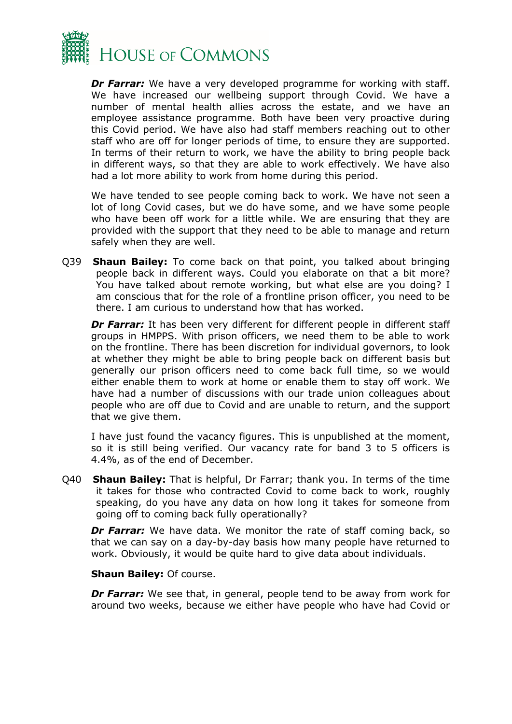

*Dr Farrar:* We have a very developed programme for working with staff. We have increased our wellbeing support through Covid. We have a number of mental health allies across the estate, and we have an employee assistance programme. Both have been very proactive during this Covid period. We have also had staff members reaching out to other staff who are off for longer periods of time, to ensure they are supported. In terms of their return to work, we have the ability to bring people back in different ways, so that they are able to work effectively. We have also had a lot more ability to work from home during this period.

We have tended to see people coming back to work. We have not seen a lot of long Covid cases, but we do have some, and we have some people who have been off work for a little while. We are ensuring that they are provided with the support that they need to be able to manage and return safely when they are well.

Q39 **Shaun Bailey:** To come back on that point, you talked about bringing people back in different ways. Could you elaborate on that a bit more? You have talked about remote working, but what else are you doing? I am conscious that for the role of a frontline prison officer, you need to be there. I am curious to understand how that has worked.

**Dr Farrar:** It has been very different for different people in different staff groups in HMPPS. With prison officers, we need them to be able to work on the frontline. There has been discretion for individual governors, to look at whether they might be able to bring people back on different basis but generally our prison officers need to come back full time, so we would either enable them to work at home or enable them to stay off work. We have had a number of discussions with our trade union colleagues about people who are off due to Covid and are unable to return, and the support that we give them.

I have just found the vacancy figures. This is unpublished at the moment, so it is still being verified. Our vacancy rate for band 3 to 5 officers is 4.4%, as of the end of December.

Q40 **Shaun Bailey:** That is helpful, Dr Farrar; thank you. In terms of the time it takes for those who contracted Covid to come back to work, roughly speaking, do you have any data on how long it takes for someone from going off to coming back fully operationally?

**Dr Farrar:** We have data. We monitor the rate of staff coming back, so that we can say on a day-by-day basis how many people have returned to work. Obviously, it would be quite hard to give data about individuals.

#### **Shaun Bailey:** Of course.

**Dr Farrar:** We see that, in general, people tend to be away from work for around two weeks, because we either have people who have had Covid or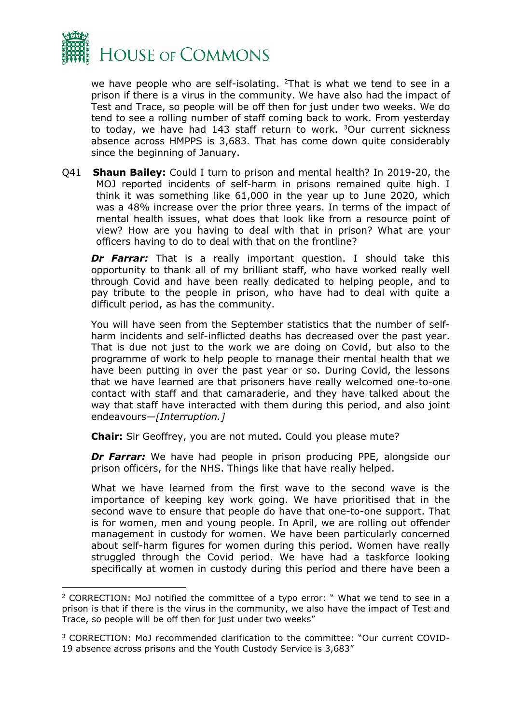

we have people who are self-isolating. <sup>[2](#page-21-0)</sup>That is what we tend to see in a prison if there is a virus in the community. We have also had the impact of Test and Trace, so people will be off then for just under two weeks. We do tend to see a rolling number of staff coming back to work. From yesterday to today, we have had 14[3](#page-21-1) staff return to work.  $3$ Our current sickness absence across HMPPS is 3,683. That has come down quite considerably since the beginning of January.

Q41 **Shaun Bailey:** Could I turn to prison and mental health? In 2019-20, the MOJ reported incidents of self-harm in prisons remained quite high. I think it was something like 61,000 in the year up to June 2020, which was a 48% increase over the prior three years. In terms of the impact of mental health issues, what does that look like from a resource point of view? How are you having to deal with that in prison? What are your officers having to do to deal with that on the frontline?

**Dr Farrar:** That is a really important question. I should take this opportunity to thank all of my brilliant staff, who have worked really well through Covid and have been really dedicated to helping people, and to pay tribute to the people in prison, who have had to deal with quite a difficult period, as has the community.

You will have seen from the September statistics that the number of selfharm incidents and self-inflicted deaths has decreased over the past year. That is due not just to the work we are doing on Covid, but also to the programme of work to help people to manage their mental health that we have been putting in over the past year or so. During Covid, the lessons that we have learned are that prisoners have really welcomed one-to-one contact with staff and that camaraderie, and they have talked about the way that staff have interacted with them during this period, and also joint endeavours—*[Interruption.]*

**Chair:** Sir Geoffrey, you are not muted. Could you please mute?

**Dr Farrar:** We have had people in prison producing PPE, alongside our prison officers, for the NHS. Things like that have really helped.

What we have learned from the first wave to the second wave is the importance of keeping key work going. We have prioritised that in the second wave to ensure that people do have that one-to-one support. That is for women, men and young people. In April, we are rolling out offender management in custody for women. We have been particularly concerned about self-harm figures for women during this period. Women have really struggled through the Covid period. We have had a taskforce looking specifically at women in custody during this period and there have been a

<span id="page-21-0"></span><sup>2</sup> CORRECTION: MoJ notified the committee of a typo error: " What we tend to see in a prison is that if there is the virus in the community, we also have the impact of Test and Trace, so people will be off then for just under two weeks"

<span id="page-21-1"></span><sup>3</sup> CORRECTION: MoJ recommended clarification to the committee: "Our current COVID-19 absence across prisons and the Youth Custody Service is 3,683"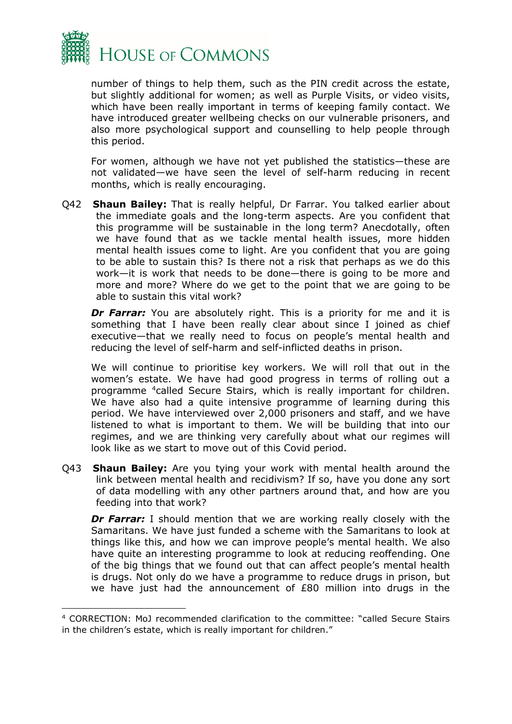

number of things to help them, such as the PIN credit across the estate, but slightly additional for women; as well as Purple Visits, or video visits, which have been really important in terms of keeping family contact. We have introduced greater wellbeing checks on our vulnerable prisoners, and also more psychological support and counselling to help people through this period.

For women, although we have not yet published the statistics—these are not validated—we have seen the level of self-harm reducing in recent months, which is really encouraging.

Q42 **Shaun Bailey:** That is really helpful, Dr Farrar. You talked earlier about the immediate goals and the long-term aspects. Are you confident that this programme will be sustainable in the long term? Anecdotally, often we have found that as we tackle mental health issues, more hidden mental health issues come to light. Are you confident that you are going to be able to sustain this? Is there not a risk that perhaps as we do this work—it is work that needs to be done—there is going to be more and more and more? Where do we get to the point that we are going to be able to sustain this vital work?

**Dr Farrar:** You are absolutely right. This is a priority for me and it is something that I have been really clear about since I joined as chief executive—that we really need to focus on people's mental health and reducing the level of self-harm and self-inflicted deaths in prison.

We will continue to prioritise key workers. We will roll that out in the women's estate. We have had good progress in terms of rolling out a programme [4](#page-22-0)called Secure Stairs, which is really important for children. We have also had a quite intensive programme of learning during this period. We have interviewed over 2,000 prisoners and staff, and we have listened to what is important to them. We will be building that into our regimes, and we are thinking very carefully about what our regimes will look like as we start to move out of this Covid period.

Q43 **Shaun Bailey:** Are you tying your work with mental health around the link between mental health and recidivism? If so, have you done any sort of data modelling with any other partners around that, and how are you feeding into that work?

**Dr Farrar:** I should mention that we are working really closely with the Samaritans. We have just funded a scheme with the Samaritans to look at things like this, and how we can improve people's mental health. We also have quite an interesting programme to look at reducing reoffending. One of the big things that we found out that can affect people's mental health is drugs. Not only do we have a programme to reduce drugs in prison, but we have just had the announcement of £80 million into drugs in the

<span id="page-22-0"></span><sup>4</sup> CORRECTION: MoJ recommended clarification to the committee: "called Secure Stairs in the children's estate, which is really important for children."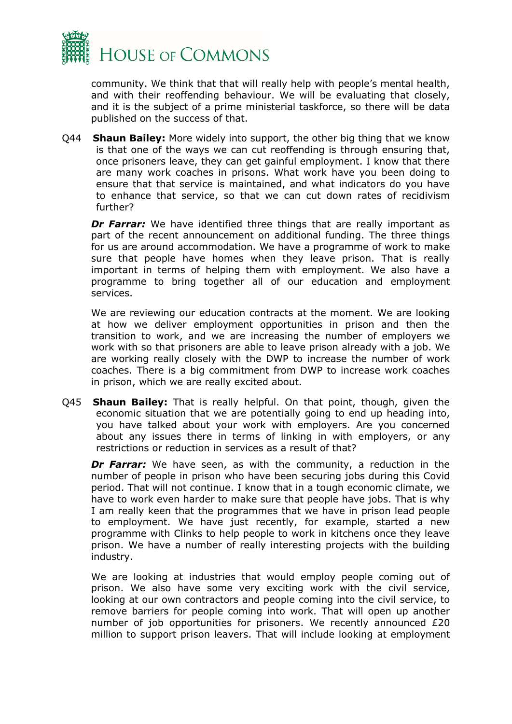

community. We think that that will really help with people's mental health, and with their reoffending behaviour. We will be evaluating that closely, and it is the subject of a prime ministerial taskforce, so there will be data published on the success of that.

Q44 **Shaun Bailey:** More widely into support, the other big thing that we know is that one of the ways we can cut reoffending is through ensuring that, once prisoners leave, they can get gainful employment. I know that there are many work coaches in prisons. What work have you been doing to ensure that that service is maintained, and what indicators do you have to enhance that service, so that we can cut down rates of recidivism further?

*Dr Farrar:* We have identified three things that are really important as part of the recent announcement on additional funding. The three things for us are around accommodation. We have a programme of work to make sure that people have homes when they leave prison. That is really important in terms of helping them with employment. We also have a programme to bring together all of our education and employment services.

We are reviewing our education contracts at the moment. We are looking at how we deliver employment opportunities in prison and then the transition to work, and we are increasing the number of employers we work with so that prisoners are able to leave prison already with a job. We are working really closely with the DWP to increase the number of work coaches. There is a big commitment from DWP to increase work coaches in prison, which we are really excited about.

Q45 **Shaun Bailey:** That is really helpful. On that point, though, given the economic situation that we are potentially going to end up heading into, you have talked about your work with employers. Are you concerned about any issues there in terms of linking in with employers, or any restrictions or reduction in services as a result of that?

*Dr Farrar:* We have seen, as with the community, a reduction in the number of people in prison who have been securing jobs during this Covid period. That will not continue. I know that in a tough economic climate, we have to work even harder to make sure that people have jobs. That is why I am really keen that the programmes that we have in prison lead people to employment. We have just recently, for example, started a new programme with Clinks to help people to work in kitchens once they leave prison. We have a number of really interesting projects with the building industry.

We are looking at industries that would employ people coming out of prison. We also have some very exciting work with the civil service, looking at our own contractors and people coming into the civil service, to remove barriers for people coming into work. That will open up another number of job opportunities for prisoners. We recently announced £20 million to support prison leavers. That will include looking at employment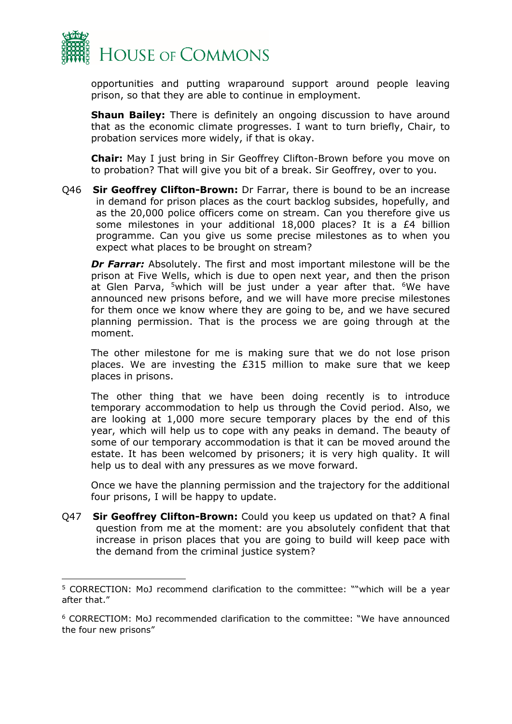

opportunities and putting wraparound support around people leaving prison, so that they are able to continue in employment.

**Shaun Bailey:** There is definitely an ongoing discussion to have around that as the economic climate progresses. I want to turn briefly, Chair, to probation services more widely, if that is okay.

**Chair:** May I just bring in Sir Geoffrey Clifton-Brown before you move on to probation? That will give you bit of a break. Sir Geoffrey, over to you.

Q46 **Sir Geoffrey Clifton-Brown:** Dr Farrar, there is bound to be an increase in demand for prison places as the court backlog subsides, hopefully, and as the 20,000 police officers come on stream. Can you therefore give us some milestones in your additional 18,000 places? It is a £4 billion programme. Can you give us some precise milestones as to when you expect what places to be brought on stream?

*Dr Farrar:* Absolutely. The first and most important milestone will be the prison at Five Wells, which is due to open next year, and then the prison at Glen Parva, <sup>[5](#page-24-0)</sup>which will be just under a year after that. <sup>6</sup>We have announced new prisons before, and we will have more precise milestones for them once we know where they are going to be, and we have secured planning permission. That is the process we are going through at the moment.

The other milestone for me is making sure that we do not lose prison places. We are investing the £315 million to make sure that we keep places in prisons.

The other thing that we have been doing recently is to introduce temporary accommodation to help us through the Covid period. Also, we are looking at 1,000 more secure temporary places by the end of this year, which will help us to cope with any peaks in demand. The beauty of some of our temporary accommodation is that it can be moved around the estate. It has been welcomed by prisoners; it is very high quality. It will help us to deal with any pressures as we move forward.

Once we have the planning permission and the trajectory for the additional four prisons, I will be happy to update.

Q47 **Sir Geoffrey Clifton-Brown:** Could you keep us updated on that? A final question from me at the moment: are you absolutely confident that that increase in prison places that you are going to build will keep pace with the demand from the criminal justice system?

<span id="page-24-0"></span><sup>5</sup> CORRECTION: MoJ recommend clarification to the committee: ""which will be a year after that."

<span id="page-24-1"></span><sup>6</sup> CORRECTIOM: MoJ recommended clarification to the committee: "We have announced the four new prisons"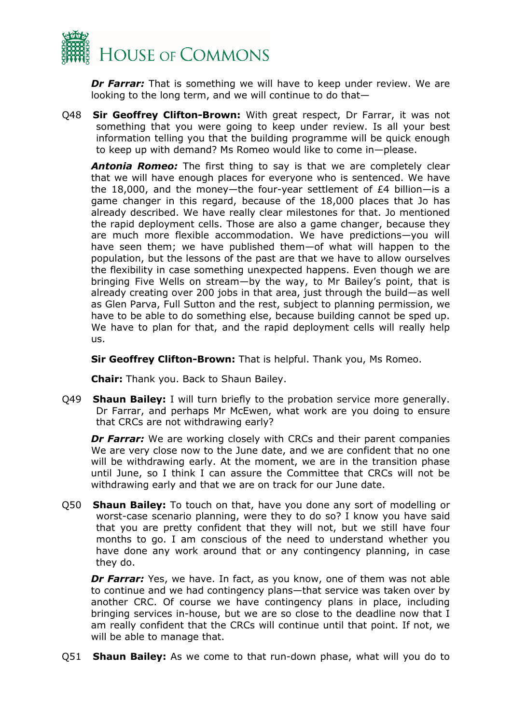

*Dr Farrar:* That is something we will have to keep under review. We are looking to the long term, and we will continue to do that—

Q48 **Sir Geoffrey Clifton-Brown:** With great respect, Dr Farrar, it was not something that you were going to keep under review. Is all your best information telling you that the building programme will be quick enough to keep up with demand? Ms Romeo would like to come in—please.

*Antonia Romeo:* The first thing to say is that we are completely clear that we will have enough places for everyone who is sentenced. We have the 18,000, and the money—the four-year settlement of £4 billion—is a game changer in this regard, because of the 18,000 places that Jo has already described. We have really clear milestones for that. Jo mentioned the rapid deployment cells. Those are also a game changer, because they are much more flexible accommodation. We have predictions—you will have seen them; we have published them—of what will happen to the population, but the lessons of the past are that we have to allow ourselves the flexibility in case something unexpected happens. Even though we are bringing Five Wells on stream—by the way, to Mr Bailey's point, that is already creating over 200 jobs in that area, just through the build—as well as Glen Parva, Full Sutton and the rest, subject to planning permission, we have to be able to do something else, because building cannot be sped up. We have to plan for that, and the rapid deployment cells will really help us.

**Sir Geoffrey Clifton-Brown:** That is helpful. Thank you, Ms Romeo.

**Chair:** Thank you. Back to Shaun Bailey.

Q49 **Shaun Bailey:** I will turn briefly to the probation service more generally. Dr Farrar, and perhaps Mr McEwen, what work are you doing to ensure that CRCs are not withdrawing early?

*Dr Farrar:* We are working closely with CRCs and their parent companies We are very close now to the June date, and we are confident that no one will be withdrawing early. At the moment, we are in the transition phase until June, so I think I can assure the Committee that CRCs will not be withdrawing early and that we are on track for our June date.

Q50 **Shaun Bailey:** To touch on that, have you done any sort of modelling or worst-case scenario planning, were they to do so? I know you have said that you are pretty confident that they will not, but we still have four months to go. I am conscious of the need to understand whether you have done any work around that or any contingency planning, in case they do.

*Dr Farrar:* Yes, we have. In fact, as you know, one of them was not able to continue and we had contingency plans—that service was taken over by another CRC. Of course we have contingency plans in place, including bringing services in-house, but we are so close to the deadline now that I am really confident that the CRCs will continue until that point. If not, we will be able to manage that.

Q51 **Shaun Bailey:** As we come to that run-down phase, what will you do to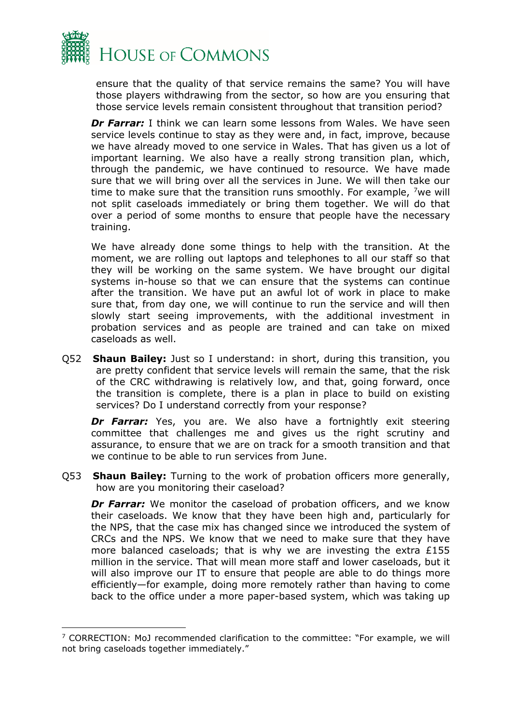

ensure that the quality of that service remains the same? You will have those players withdrawing from the sector, so how are you ensuring that those service levels remain consistent throughout that transition period?

*Dr Farrar:* I think we can learn some lessons from Wales. We have seen service levels continue to stay as they were and, in fact, improve, because we have already moved to one service in Wales. That has given us a lot of important learning. We also have a really strong transition plan, which, through the pandemic, we have continued to resource. We have made sure that we will bring over all the services in June. We will then take our time to make sure that the transition runs smoothly. For example,  $\frac{7}{1}$  we will not split caseloads immediately or bring them together. We will do that over a period of some months to ensure that people have the necessary training.

We have already done some things to help with the transition. At the moment, we are rolling out laptops and telephones to all our staff so that they will be working on the same system. We have brought our digital systems in-house so that we can ensure that the systems can continue after the transition. We have put an awful lot of work in place to make sure that, from day one, we will continue to run the service and will then slowly start seeing improvements, with the additional investment in probation services and as people are trained and can take on mixed caseloads as well.

Q52 **Shaun Bailey:** Just so I understand: in short, during this transition, you are pretty confident that service levels will remain the same, that the risk of the CRC withdrawing is relatively low, and that, going forward, once the transition is complete, there is a plan in place to build on existing services? Do I understand correctly from your response?

*Dr Farrar:* Yes, you are. We also have a fortnightly exit steering committee that challenges me and gives us the right scrutiny and assurance, to ensure that we are on track for a smooth transition and that we continue to be able to run services from June.

Q53 **Shaun Bailey:** Turning to the work of probation officers more generally, how are you monitoring their caseload?

**Dr Farrar:** We monitor the caseload of probation officers, and we know their caseloads. We know that they have been high and, particularly for the NPS, that the case mix has changed since we introduced the system of CRCs and the NPS. We know that we need to make sure that they have more balanced caseloads; that is why we are investing the extra £155 million in the service. That will mean more staff and lower caseloads, but it will also improve our IT to ensure that people are able to do things more efficiently—for example, doing more remotely rather than having to come back to the office under a more paper-based system, which was taking up

<span id="page-26-0"></span><sup>&</sup>lt;sup>7</sup> CORRECTION: MoJ recommended clarification to the committee: "For example, we will not bring caseloads together immediately."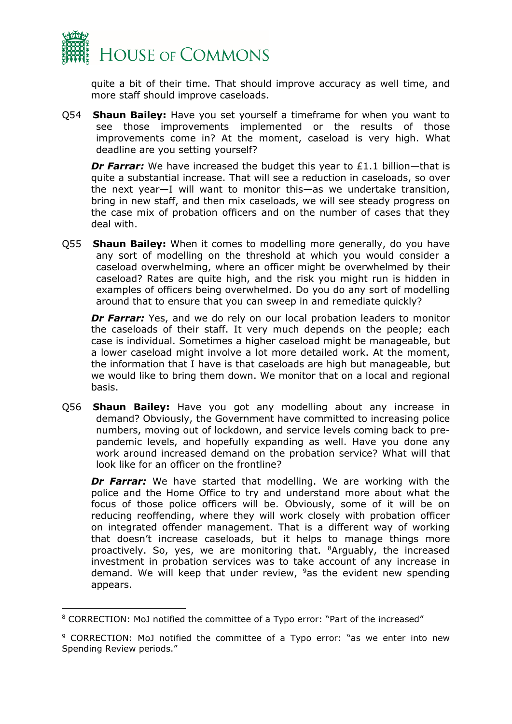

quite a bit of their time. That should improve accuracy as well time, and more staff should improve caseloads.

Q54 **Shaun Bailey:** Have you set yourself a timeframe for when you want to see those improvements implemented or the results of those improvements come in? At the moment, caseload is very high. What deadline are you setting yourself?

**Dr Farrar:** We have increased the budget this year to £1.1 billion—that is quite a substantial increase. That will see a reduction in caseloads, so over the next year—I will want to monitor this—as we undertake transition, bring in new staff, and then mix caseloads, we will see steady progress on the case mix of probation officers and on the number of cases that they deal with.

Q55 **Shaun Bailey:** When it comes to modelling more generally, do you have any sort of modelling on the threshold at which you would consider a caseload overwhelming, where an officer might be overwhelmed by their caseload? Rates are quite high, and the risk you might run is hidden in examples of officers being overwhelmed. Do you do any sort of modelling around that to ensure that you can sweep in and remediate quickly?

**Dr Farrar:** Yes, and we do rely on our local probation leaders to monitor the caseloads of their staff. It very much depends on the people; each case is individual. Sometimes a higher caseload might be manageable, but a lower caseload might involve a lot more detailed work. At the moment, the information that I have is that caseloads are high but manageable, but we would like to bring them down. We monitor that on a local and regional basis.

Q56 **Shaun Bailey:** Have you got any modelling about any increase in demand? Obviously, the Government have committed to increasing police numbers, moving out of lockdown, and service levels coming back to prepandemic levels, and hopefully expanding as well. Have you done any work around increased demand on the probation service? What will that look like for an officer on the frontline?

*Dr Farrar:* We have started that modelling. We are working with the police and the Home Office to try and understand more about what the focus of those police officers will be. Obviously, some of it will be on reducing reoffending, where they will work closely with probation officer on integrated offender management. That is a different way of working that doesn't increase caseloads, but it helps to manage things more proactively. So, yes, we are monitoring that. [8A](#page-27-0)rguably, the increased investment in probation services was to take account of any increase in demand. We will keep that under review,  $9a$ s the evident new spending appears.

<span id="page-27-0"></span><sup>8</sup> CORRECTION: MoJ notified the committee of a Typo error: "Part of the increased"

<span id="page-27-1"></span><sup>&</sup>lt;sup>9</sup> CORRECTION: MoJ notified the committee of a Typo error: "as we enter into new Spending Review periods."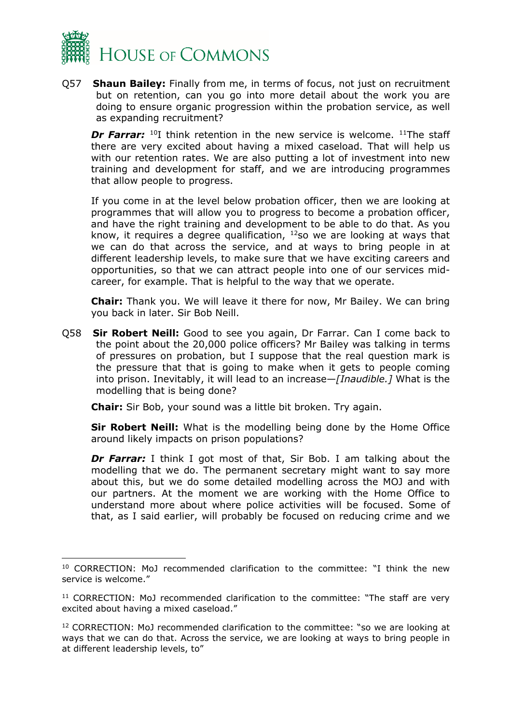

Q57 **Shaun Bailey:** Finally from me, in terms of focus, not just on recruitment but on retention, can you go into more detail about the work you are doing to ensure organic progression within the probation service, as well as expanding recruitment?

*Dr Farrar:* <sup>[10](#page-28-0)</sup>I think retention in the new service is welcome. <sup>[11](#page-28-1)</sup>The staff there are very excited about having a mixed caseload. That will help us with our retention rates. We are also putting a lot of investment into new training and development for staff, and we are introducing programmes that allow people to progress.

If you come in at the level below probation officer, then we are looking at programmes that will allow you to progress to become a probation officer, and have the right training and development to be able to do that. As you know, it requires a degree qualification,  $12$ so we are looking at ways that we can do that across the service, and at ways to bring people in at different leadership levels, to make sure that we have exciting careers and opportunities, so that we can attract people into one of our services midcareer, for example. That is helpful to the way that we operate.

**Chair:** Thank you. We will leave it there for now, Mr Bailey. We can bring you back in later. Sir Bob Neill.

Q58 **Sir Robert Neill:** Good to see you again, Dr Farrar. Can I come back to the point about the 20,000 police officers? Mr Bailey was talking in terms of pressures on probation, but I suppose that the real question mark is the pressure that that is going to make when it gets to people coming into prison. Inevitably, it will lead to an increase—*[Inaudible.]* What is the modelling that is being done?

**Chair:** Sir Bob, your sound was a little bit broken. Try again.

**Sir Robert Neill:** What is the modelling being done by the Home Office around likely impacts on prison populations?

**Dr Farrar:** I think I got most of that, Sir Bob. I am talking about the modelling that we do. The permanent secretary might want to say more about this, but we do some detailed modelling across the MOJ and with our partners. At the moment we are working with the Home Office to understand more about where police activities will be focused. Some of that, as I said earlier, will probably be focused on reducing crime and we

<span id="page-28-0"></span><sup>10</sup> CORRECTION: MoJ recommended clarification to the committee: "I think the new service is welcome."

<span id="page-28-1"></span><sup>&</sup>lt;sup>11</sup> CORRECTION: MoJ recommended clarification to the committee: "The staff are very excited about having a mixed caseload."

<span id="page-28-2"></span><sup>12</sup> CORRECTION: MoJ recommended clarification to the committee: "so we are looking at ways that we can do that. Across the service, we are looking at ways to bring people in at different leadership levels, to"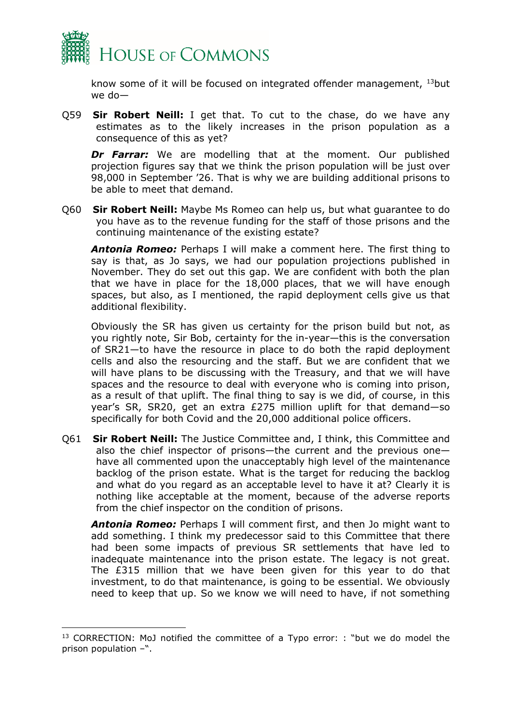

know some of it will be focused on integrated offender management, [13](#page-29-0)but we do—

Q59 **Sir Robert Neill:** I get that. To cut to the chase, do we have any estimates as to the likely increases in the prison population as a consequence of this as yet?

*Dr Farrar:* We are modelling that at the moment. Our published projection figures say that we think the prison population will be just over 98,000 in September '26. That is why we are building additional prisons to be able to meet that demand.

Q60 **Sir Robert Neill:** Maybe Ms Romeo can help us, but what guarantee to do you have as to the revenue funding for the staff of those prisons and the continuing maintenance of the existing estate?

*Antonia Romeo:* Perhaps I will make a comment here. The first thing to say is that, as Jo says, we had our population projections published in November. They do set out this gap. We are confident with both the plan that we have in place for the 18,000 places, that we will have enough spaces, but also, as I mentioned, the rapid deployment cells give us that additional flexibility.

Obviously the SR has given us certainty for the prison build but not, as you rightly note, Sir Bob, certainty for the in-year—this is the conversation of SR21—to have the resource in place to do both the rapid deployment cells and also the resourcing and the staff. But we are confident that we will have plans to be discussing with the Treasury, and that we will have spaces and the resource to deal with everyone who is coming into prison, as a result of that uplift. The final thing to say is we did, of course, in this year's SR, SR20, get an extra £275 million uplift for that demand—so specifically for both Covid and the 20,000 additional police officers.

Q61 **Sir Robert Neill:** The Justice Committee and, I think, this Committee and also the chief inspector of prisons—the current and the previous one have all commented upon the unacceptably high level of the maintenance backlog of the prison estate. What is the target for reducing the backlog and what do you regard as an acceptable level to have it at? Clearly it is nothing like acceptable at the moment, because of the adverse reports from the chief inspector on the condition of prisons.

*Antonia Romeo:* Perhaps I will comment first, and then Jo might want to add something. I think my predecessor said to this Committee that there had been some impacts of previous SR settlements that have led to inadequate maintenance into the prison estate. The legacy is not great. The £315 million that we have been given for this year to do that investment, to do that maintenance, is going to be essential. We obviously need to keep that up. So we know we will need to have, if not something

<span id="page-29-0"></span><sup>&</sup>lt;sup>13</sup> CORRECTION: MoJ notified the committee of a Typo error: : "but we do model the prison population –".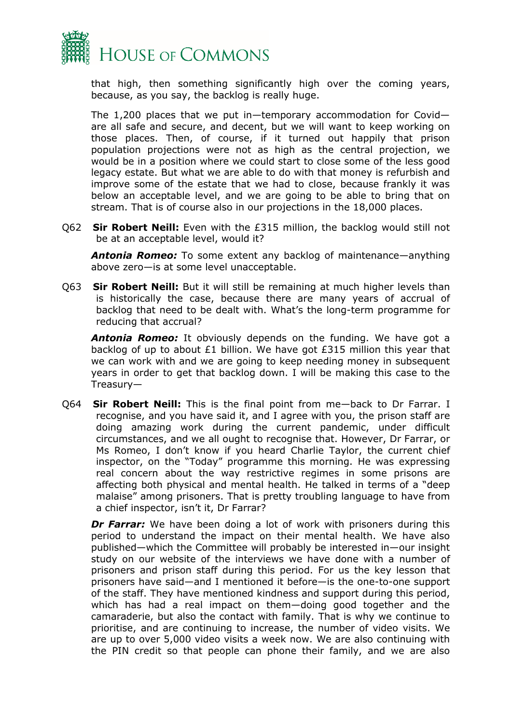

that high, then something significantly high over the coming years, because, as you say, the backlog is really huge.

The 1,200 places that we put in—temporary accommodation for Covid are all safe and secure, and decent, but we will want to keep working on those places. Then, of course, if it turned out happily that prison population projections were not as high as the central projection, we would be in a position where we could start to close some of the less good legacy estate. But what we are able to do with that money is refurbish and improve some of the estate that we had to close, because frankly it was below an acceptable level, and we are going to be able to bring that on stream. That is of course also in our projections in the 18,000 places.

Q62 **Sir Robert Neill:** Even with the £315 million, the backlog would still not be at an acceptable level, would it?

*Antonia Romeo:* To some extent any backlog of maintenance—anything above zero—is at some level unacceptable.

Q63 **Sir Robert Neill:** But it will still be remaining at much higher levels than is historically the case, because there are many years of accrual of backlog that need to be dealt with. What's the long-term programme for reducing that accrual?

*Antonia Romeo:* It obviously depends on the funding. We have got a backlog of up to about £1 billion. We have got £315 million this year that we can work with and we are going to keep needing money in subsequent years in order to get that backlog down. I will be making this case to the Treasury—

Q64 **Sir Robert Neill:** This is the final point from me—back to Dr Farrar. I recognise, and you have said it, and I agree with you, the prison staff are doing amazing work during the current pandemic, under difficult circumstances, and we all ought to recognise that. However, Dr Farrar, or Ms Romeo, I don't know if you heard Charlie Taylor, the current chief inspector, on the "Today" programme this morning. He was expressing real concern about the way restrictive regimes in some prisons are affecting both physical and mental health. He talked in terms of a "deep malaise" among prisoners. That is pretty troubling language to have from a chief inspector, isn't it, Dr Farrar?

**Dr Farrar:** We have been doing a lot of work with prisoners during this period to understand the impact on their mental health. We have also published—which the Committee will probably be interested in—our insight study on our website of the interviews we have done with a number of prisoners and prison staff during this period. For us the key lesson that prisoners have said—and I mentioned it before—is the one-to-one support of the staff. They have mentioned kindness and support during this period, which has had a real impact on them—doing good together and the camaraderie, but also the contact with family. That is why we continue to prioritise, and are continuing to increase, the number of video visits. We are up to over 5,000 video visits a week now. We are also continuing with the PIN credit so that people can phone their family, and we are also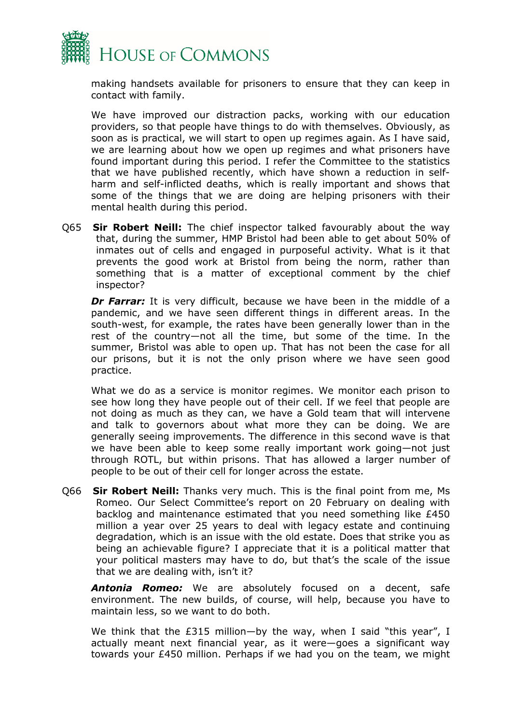

making handsets available for prisoners to ensure that they can keep in contact with family.

We have improved our distraction packs, working with our education providers, so that people have things to do with themselves. Obviously, as soon as is practical, we will start to open up regimes again. As I have said, we are learning about how we open up regimes and what prisoners have found important during this period. I refer the Committee to the statistics that we have published recently, which have shown a reduction in selfharm and self-inflicted deaths, which is really important and shows that some of the things that we are doing are helping prisoners with their mental health during this period.

Q65 **Sir Robert Neill:** The chief inspector talked favourably about the way that, during the summer, HMP Bristol had been able to get about 50% of inmates out of cells and engaged in purposeful activity. What is it that prevents the good work at Bristol from being the norm, rather than something that is a matter of exceptional comment by the chief inspector?

*Dr Farrar:* It is very difficult, because we have been in the middle of a pandemic, and we have seen different things in different areas. In the south-west, for example, the rates have been generally lower than in the rest of the country—not all the time, but some of the time. In the summer, Bristol was able to open up. That has not been the case for all our prisons, but it is not the only prison where we have seen good practice.

What we do as a service is monitor regimes. We monitor each prison to see how long they have people out of their cell. If we feel that people are not doing as much as they can, we have a Gold team that will intervene and talk to governors about what more they can be doing. We are generally seeing improvements. The difference in this second wave is that we have been able to keep some really important work going—not just through ROTL, but within prisons. That has allowed a larger number of people to be out of their cell for longer across the estate.

Q66 **Sir Robert Neill:** Thanks very much. This is the final point from me, Ms Romeo. Our Select Committee's report on 20 February on dealing with backlog and maintenance estimated that you need something like £450 million a year over 25 years to deal with legacy estate and continuing degradation, which is an issue with the old estate. Does that strike you as being an achievable figure? I appreciate that it is a political matter that your political masters may have to do, but that's the scale of the issue that we are dealing with, isn't it?

*Antonia Romeo:* We are absolutely focused on a decent, safe environment. The new builds, of course, will help, because you have to maintain less, so we want to do both.

We think that the £315 million—by the way, when I said "this year", I actually meant next financial year, as it were—goes a significant way towards your £450 million. Perhaps if we had you on the team, we might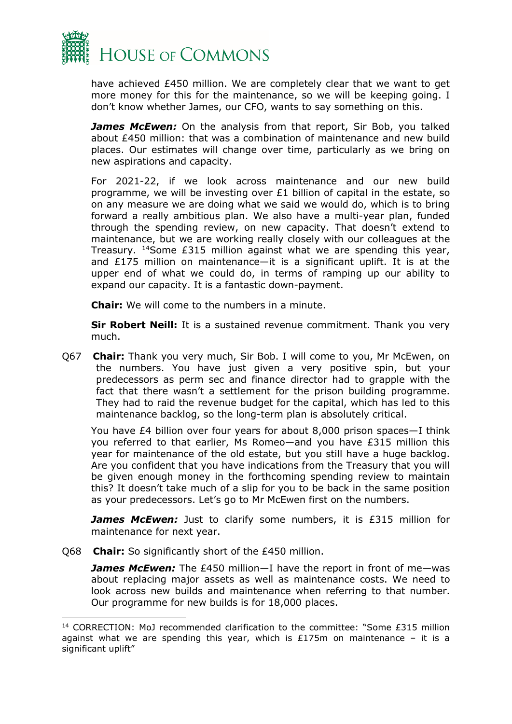

have achieved £450 million. We are completely clear that we want to get more money for this for the maintenance, so we will be keeping going. I don't know whether James, our CFO, wants to say something on this.

**James McEwen:** On the analysis from that report, Sir Bob, you talked about £450 million: that was a combination of maintenance and new build places. Our estimates will change over time, particularly as we bring on new aspirations and capacity.

For 2021-22, if we look across maintenance and our new build programme, we will be investing over £1 billion of capital in the estate, so on any measure we are doing what we said we would do, which is to bring forward a really ambitious plan. We also have a multi-year plan, funded through the spending review, on new capacity. That doesn't extend to maintenance, but we are working really closely with our colleagues at the Treasury. [14](#page-32-0)Some £315 million against what we are spending this year, and £175 million on maintenance—it is a significant uplift. It is at the upper end of what we could do, in terms of ramping up our ability to expand our capacity. It is a fantastic down-payment.

**Chair:** We will come to the numbers in a minute.

**Sir Robert Neill:** It is a sustained revenue commitment. Thank you very much.

Q67 **Chair:** Thank you very much, Sir Bob. I will come to you, Mr McEwen, on the numbers. You have just given a very positive spin, but your predecessors as perm sec and finance director had to grapple with the fact that there wasn't a settlement for the prison building programme. They had to raid the revenue budget for the capital, which has led to this maintenance backlog, so the long-term plan is absolutely critical.

You have £4 billion over four years for about 8,000 prison spaces—I think you referred to that earlier, Ms Romeo—and you have £315 million this year for maintenance of the old estate, but you still have a huge backlog. Are you confident that you have indications from the Treasury that you will be given enough money in the forthcoming spending review to maintain this? It doesn't take much of a slip for you to be back in the same position as your predecessors. Let's go to Mr McEwen first on the numbers.

**James McEwen:** Just to clarify some numbers, it is £315 million for maintenance for next year.

Q68 **Chair:** So significantly short of the £450 million.

James McEwen: The £450 million-I have the report in front of me-was about replacing major assets as well as maintenance costs. We need to look across new builds and maintenance when referring to that number. Our programme for new builds is for 18,000 places.

<span id="page-32-0"></span><sup>14</sup> CORRECTION: MoJ recommended clarification to the committee: "Some £315 million against what we are spending this year, which is  $£175m$  on maintenance - it is a significant uplift"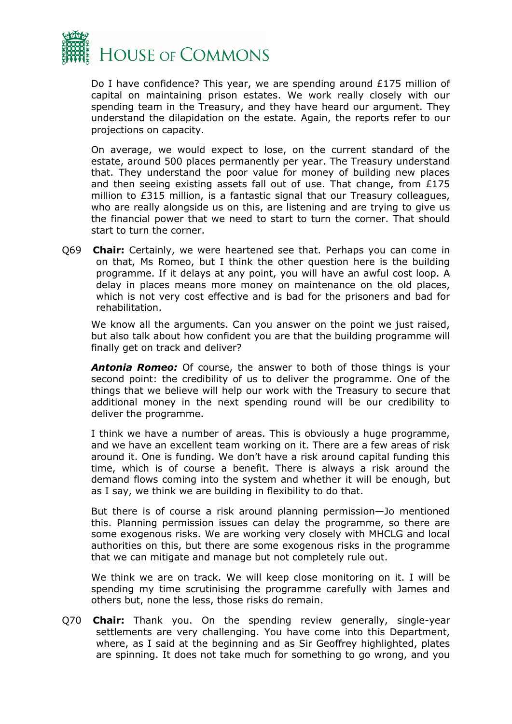

Do I have confidence? This year, we are spending around £175 million of capital on maintaining prison estates. We work really closely with our spending team in the Treasury, and they have heard our argument. They understand the dilapidation on the estate. Again, the reports refer to our projections on capacity.

On average, we would expect to lose, on the current standard of the estate, around 500 places permanently per year. The Treasury understand that. They understand the poor value for money of building new places and then seeing existing assets fall out of use. That change, from £175 million to £315 million, is a fantastic signal that our Treasury colleagues, who are really alongside us on this, are listening and are trying to give us the financial power that we need to start to turn the corner. That should start to turn the corner.

Q69 **Chair:** Certainly, we were heartened see that. Perhaps you can come in on that, Ms Romeo, but I think the other question here is the building programme. If it delays at any point, you will have an awful cost loop. A delay in places means more money on maintenance on the old places, which is not very cost effective and is bad for the prisoners and bad for rehabilitation.

We know all the arguments. Can you answer on the point we just raised, but also talk about how confident you are that the building programme will finally get on track and deliver?

*Antonia Romeo:* Of course, the answer to both of those things is your second point: the credibility of us to deliver the programme. One of the things that we believe will help our work with the Treasury to secure that additional money in the next spending round will be our credibility to deliver the programme.

I think we have a number of areas. This is obviously a huge programme, and we have an excellent team working on it. There are a few areas of risk around it. One is funding. We don't have a risk around capital funding this time, which is of course a benefit. There is always a risk around the demand flows coming into the system and whether it will be enough, but as I say, we think we are building in flexibility to do that.

But there is of course a risk around planning permission—Jo mentioned this. Planning permission issues can delay the programme, so there are some exogenous risks. We are working very closely with MHCLG and local authorities on this, but there are some exogenous risks in the programme that we can mitigate and manage but not completely rule out.

We think we are on track. We will keep close monitoring on it. I will be spending my time scrutinising the programme carefully with James and others but, none the less, those risks do remain.

Q70 **Chair:** Thank you. On the spending review generally, single-year settlements are very challenging. You have come into this Department, where, as I said at the beginning and as Sir Geoffrey highlighted, plates are spinning. It does not take much for something to go wrong, and you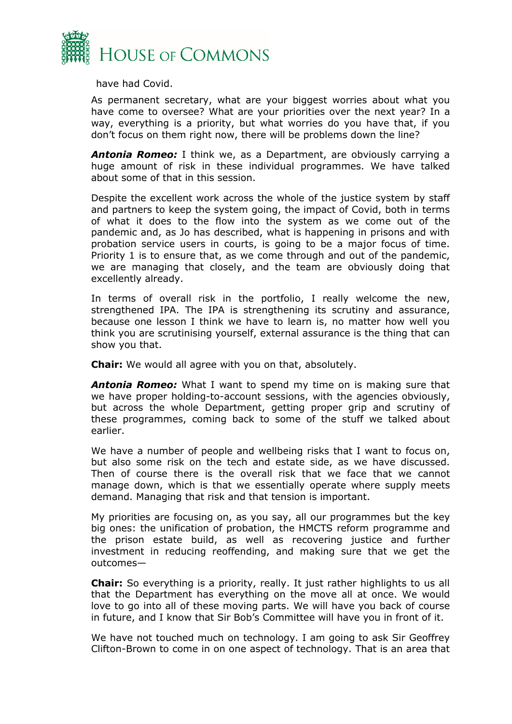

have had Covid.

As permanent secretary, what are your biggest worries about what you have come to oversee? What are your priorities over the next year? In a way, everything is a priority, but what worries do you have that, if you don't focus on them right now, there will be problems down the line?

*Antonia Romeo:* I think we, as a Department, are obviously carrying a huge amount of risk in these individual programmes. We have talked about some of that in this session.

Despite the excellent work across the whole of the justice system by staff and partners to keep the system going, the impact of Covid, both in terms of what it does to the flow into the system as we come out of the pandemic and, as Jo has described, what is happening in prisons and with probation service users in courts, is going to be a major focus of time. Priority 1 is to ensure that, as we come through and out of the pandemic, we are managing that closely, and the team are obviously doing that excellently already.

In terms of overall risk in the portfolio, I really welcome the new, strengthened IPA. The IPA is strengthening its scrutiny and assurance, because one lesson I think we have to learn is, no matter how well you think you are scrutinising yourself, external assurance is the thing that can show you that.

**Chair:** We would all agree with you on that, absolutely.

*Antonia Romeo:* What I want to spend my time on is making sure that we have proper holding-to-account sessions, with the agencies obviously, but across the whole Department, getting proper grip and scrutiny of these programmes, coming back to some of the stuff we talked about earlier.

We have a number of people and wellbeing risks that I want to focus on, but also some risk on the tech and estate side, as we have discussed. Then of course there is the overall risk that we face that we cannot manage down, which is that we essentially operate where supply meets demand. Managing that risk and that tension is important.

My priorities are focusing on, as you say, all our programmes but the key big ones: the unification of probation, the HMCTS reform programme and the prison estate build, as well as recovering justice and further investment in reducing reoffending, and making sure that we get the outcomes—

**Chair:** So everything is a priority, really. It just rather highlights to us all that the Department has everything on the move all at once. We would love to go into all of these moving parts. We will have you back of course in future, and I know that Sir Bob's Committee will have you in front of it.

We have not touched much on technology. I am going to ask Sir Geoffrey Clifton-Brown to come in on one aspect of technology. That is an area that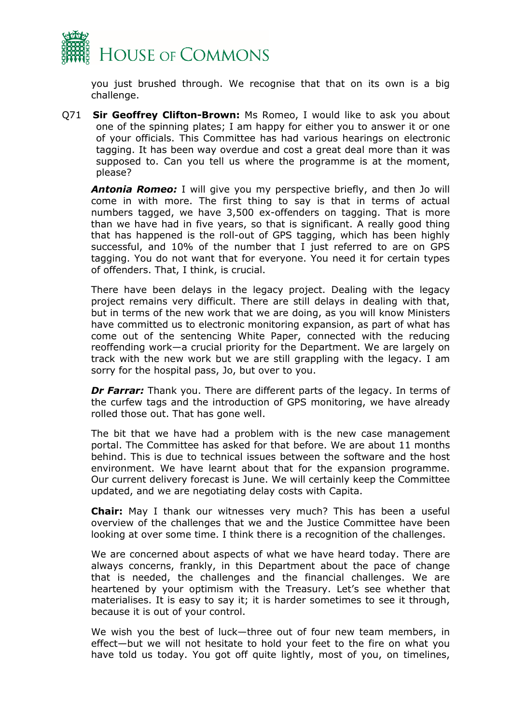

you just brushed through. We recognise that that on its own is a big challenge.

Q71 **Sir Geoffrey Clifton-Brown:** Ms Romeo, I would like to ask you about one of the spinning plates; I am happy for either you to answer it or one of your officials. This Committee has had various hearings on electronic tagging. It has been way overdue and cost a great deal more than it was supposed to. Can you tell us where the programme is at the moment, please?

*Antonia Romeo:* I will give you my perspective briefly, and then Jo will come in with more. The first thing to say is that in terms of actual numbers tagged, we have 3,500 ex-offenders on tagging. That is more than we have had in five years, so that is significant. A really good thing that has happened is the roll-out of GPS tagging, which has been highly successful, and 10% of the number that I just referred to are on GPS tagging. You do not want that for everyone. You need it for certain types of offenders. That, I think, is crucial.

There have been delays in the legacy project. Dealing with the legacy project remains very difficult. There are still delays in dealing with that, but in terms of the new work that we are doing, as you will know Ministers have committed us to electronic monitoring expansion, as part of what has come out of the sentencing White Paper, connected with the reducing reoffending work—a crucial priority for the Department. We are largely on track with the new work but we are still grappling with the legacy. I am sorry for the hospital pass, Jo, but over to you.

*Dr Farrar:* Thank you. There are different parts of the legacy. In terms of the curfew tags and the introduction of GPS monitoring, we have already rolled those out. That has gone well.

The bit that we have had a problem with is the new case management portal. The Committee has asked for that before. We are about 11 months behind. This is due to technical issues between the software and the host environment. We have learnt about that for the expansion programme. Our current delivery forecast is June. We will certainly keep the Committee updated, and we are negotiating delay costs with Capita.

**Chair:** May I thank our witnesses very much? This has been a useful overview of the challenges that we and the Justice Committee have been looking at over some time. I think there is a recognition of the challenges.

We are concerned about aspects of what we have heard today. There are always concerns, frankly, in this Department about the pace of change that is needed, the challenges and the financial challenges. We are heartened by your optimism with the Treasury. Let's see whether that materialises. It is easy to say it; it is harder sometimes to see it through, because it is out of your control.

We wish you the best of luck—three out of four new team members, in effect—but we will not hesitate to hold your feet to the fire on what you have told us today. You got off quite lightly, most of you, on timelines,